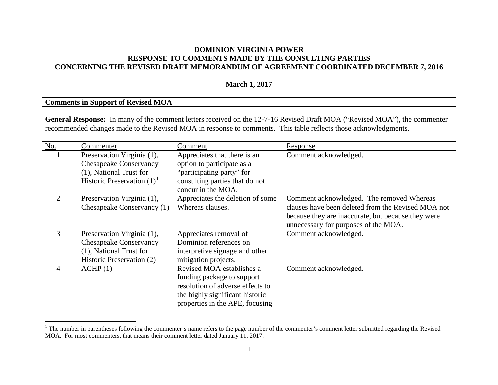## **DOMINION VIRGINIA POWER RESPONSE TO COMMENTS MADE BY THE CONSULTING PARTIES CONCERNING THE REVISED DRAFT MEMORANDUM OF AGREEMENT COORDINATED DECEMBER 7, 2016**

#### <span id="page-0-0"></span>**March 1, 2017**

#### **Comments in Support of Revised MOA General Response:** In many of the comment letters received on the 12-7-16 Revised Draft MOA ("Revised MOA"), the commenter recommended changes made to the Revised MOA in response to comments. This table reflects those acknowledgments. No. Commenter Comment Comment Response 1 Preservation Virginia (1), Chesapeake Conservancy (1), National Trust for Historic Preservation  $(1)^1$  $(1)^1$  $(1)^1$ Appreciates that there is an option to participate as a "participating party" for consulting parties that do not concur in the MOA. Comment acknowledged. 2 Preservation Virginia (1), Chesapeake Conservancy (1) Appreciates the deletion of some Whereas clauses. Comment acknowledged. The removed Whereas clauses have been deleted from the Revised MOA not because they are inaccurate, but because they were unnecessary for purposes of the MOA. 3 Preservation Virginia (1), Chesapeake Conservancy (1), National Trust for Historic Preservation (2) Appreciates removal of Dominion references on interpretive signage and other mitigation projects. Comment acknowledged. 4 ACHP (1) Revised MOA establishes a funding package to support resolution of adverse effects to the highly significant historic properties in the APE, focusing Comment acknowledged.

<sup>&</sup>lt;sup>1</sup> The number in parentheses following the commenter's name refers to the page number of the commenter's comment letter submitted regarding the Revised MOA. For most commenters, that means their comment letter dated January 11, 2017.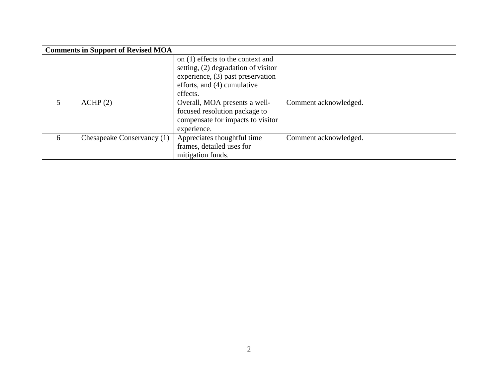|   | <b>Comments in Support of Revised MOA</b> |                                       |                       |
|---|-------------------------------------------|---------------------------------------|-----------------------|
|   |                                           | on (1) effects to the context and     |                       |
|   |                                           | setting, $(2)$ degradation of visitor |                       |
|   |                                           | experience, (3) past preservation     |                       |
|   |                                           | efforts, and (4) cumulative           |                       |
|   |                                           | effects.                              |                       |
|   | ACHP(2)                                   | Overall, MOA presents a well-         | Comment acknowledged. |
|   |                                           | focused resolution package to         |                       |
|   |                                           | compensate for impacts to visitor     |                       |
|   |                                           | experience.                           |                       |
| 6 | Chesapeake Conservancy (1)                | Appreciates thoughtful time           | Comment acknowledged. |
|   |                                           | frames, detailed uses for             |                       |
|   |                                           | mitigation funds.                     |                       |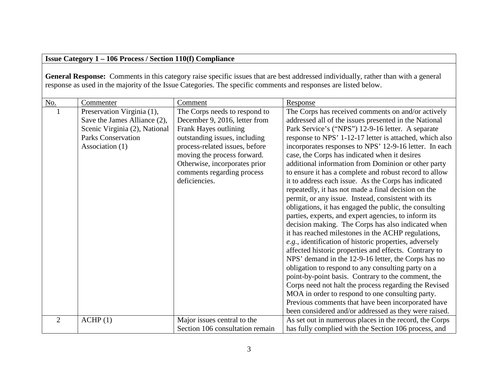# **Issue Category 1 – 106 Process / Section 110(f) Compliance**

General Response: Comments in this category raise specific issues that are best addressed individually, rather than with a general response as used in the majority of the Issue Categories. The specific comments and responses are listed below.

| No.            | Commenter                                                                                                                                   | Comment                                                                                                                                                                                                                                                                   |                                                                                                                                                                                                                                                                                                                                                                                                                                                                                                                                                                                                                                                                                                                                                                                                                                                                                                                                                                                                                                                                                                                                                                                                                                                                                                                                 |
|----------------|---------------------------------------------------------------------------------------------------------------------------------------------|---------------------------------------------------------------------------------------------------------------------------------------------------------------------------------------------------------------------------------------------------------------------------|---------------------------------------------------------------------------------------------------------------------------------------------------------------------------------------------------------------------------------------------------------------------------------------------------------------------------------------------------------------------------------------------------------------------------------------------------------------------------------------------------------------------------------------------------------------------------------------------------------------------------------------------------------------------------------------------------------------------------------------------------------------------------------------------------------------------------------------------------------------------------------------------------------------------------------------------------------------------------------------------------------------------------------------------------------------------------------------------------------------------------------------------------------------------------------------------------------------------------------------------------------------------------------------------------------------------------------|
|                | Preservation Virginia (1),<br>Save the James Alliance (2),<br>Scenic Virginia (2), National<br><b>Parks Conservation</b><br>Association (1) | The Corps needs to respond to<br>December 9, 2016, letter from<br>Frank Hayes outlining<br>outstanding issues, including<br>process-related issues, before<br>moving the process forward.<br>Otherwise, incorporates prior<br>comments regarding process<br>deficiencies. | Response<br>The Corps has received comments on and/or actively<br>addressed all of the issues presented in the National<br>Park Service's ("NPS") 12-9-16 letter. A separate<br>response to NPS' 1-12-17 letter is attached, which also<br>incorporates responses to NPS' 12-9-16 letter. In each<br>case, the Corps has indicated when it desires<br>additional information from Dominion or other party<br>to ensure it has a complete and robust record to allow<br>it to address each issue. As the Corps has indicated<br>repeatedly, it has not made a final decision on the<br>permit, or any issue. Instead, consistent with its<br>obligations, it has engaged the public, the consulting<br>parties, experts, and expert agencies, to inform its<br>decision making. The Corps has also indicated when<br>it has reached milestones in the ACHP regulations,<br>e.g., identification of historic properties, adversely<br>affected historic properties and effects. Contrary to<br>NPS' demand in the 12-9-16 letter, the Corps has no<br>obligation to respond to any consulting party on a<br>point-by-point basis. Contrary to the comment, the<br>Corps need not halt the process regarding the Revised<br>MOA in order to respond to one consulting party.<br>Previous comments that have been incorporated have |
|                |                                                                                                                                             |                                                                                                                                                                                                                                                                           | been considered and/or addressed as they were raised.                                                                                                                                                                                                                                                                                                                                                                                                                                                                                                                                                                                                                                                                                                                                                                                                                                                                                                                                                                                                                                                                                                                                                                                                                                                                           |
| $\overline{2}$ | ACHP(1)                                                                                                                                     | Major issues central to the                                                                                                                                                                                                                                               | As set out in numerous places in the record, the Corps                                                                                                                                                                                                                                                                                                                                                                                                                                                                                                                                                                                                                                                                                                                                                                                                                                                                                                                                                                                                                                                                                                                                                                                                                                                                          |
|                |                                                                                                                                             | Section 106 consultation remain                                                                                                                                                                                                                                           | has fully complied with the Section 106 process, and                                                                                                                                                                                                                                                                                                                                                                                                                                                                                                                                                                                                                                                                                                                                                                                                                                                                                                                                                                                                                                                                                                                                                                                                                                                                            |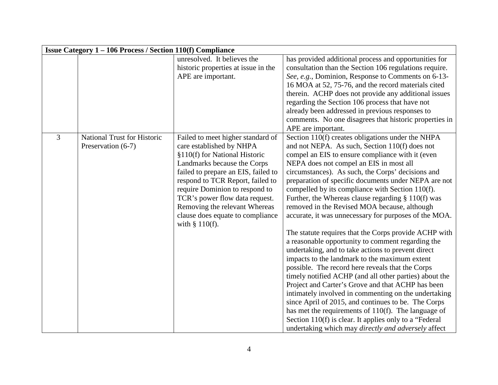|                | <b>Issue Category 1 – 106 Process / Section 110(f) Compliance</b> |                                                       |                                                        |  |
|----------------|-------------------------------------------------------------------|-------------------------------------------------------|--------------------------------------------------------|--|
|                |                                                                   | unresolved. It believes the                           | has provided additional process and opportunities for  |  |
|                |                                                                   | historic properties at issue in the                   | consultation than the Section 106 regulations require. |  |
|                |                                                                   | APE are important.                                    | See, e.g., Dominion, Response to Comments on 6-13-     |  |
|                |                                                                   |                                                       | 16 MOA at 52, 75-76, and the record materials cited    |  |
|                |                                                                   |                                                       | therein. ACHP does not provide any additional issues   |  |
|                |                                                                   |                                                       | regarding the Section 106 process that have not        |  |
|                |                                                                   |                                                       | already been addressed in previous responses to        |  |
|                |                                                                   |                                                       | comments. No one disagrees that historic properties in |  |
|                |                                                                   |                                                       | APE are important.                                     |  |
| $\overline{3}$ | <b>National Trust for Historic</b>                                | Failed to meet higher standard of                     | Section 110(f) creates obligations under the NHPA      |  |
|                | Preservation (6-7)                                                | care established by NHPA                              | and not NEPA. As such, Section 110(f) does not         |  |
|                |                                                                   | §110(f) for National Historic                         | compel an EIS to ensure compliance with it (even       |  |
|                |                                                                   | Landmarks because the Corps                           | NEPA does not compel an EIS in most all                |  |
|                |                                                                   | failed to prepare an EIS, failed to                   | circumstances). As such, the Corps' decisions and      |  |
|                |                                                                   | respond to TCR Report, failed to                      | preparation of specific documents under NEPA are not   |  |
|                |                                                                   | require Dominion to respond to                        | compelled by its compliance with Section 110(f).       |  |
|                |                                                                   | TCR's power flow data request.                        | Further, the Whereas clause regarding $\S 110(f)$ was  |  |
|                |                                                                   | Removing the relevant Whereas                         | removed in the Revised MOA because, although           |  |
|                |                                                                   | clause does equate to compliance<br>with $§ 110(f)$ . | accurate, it was unnecessary for purposes of the MOA.  |  |
|                |                                                                   |                                                       | The statute requires that the Corps provide ACHP with  |  |
|                |                                                                   |                                                       | a reasonable opportunity to comment regarding the      |  |
|                |                                                                   |                                                       | undertaking, and to take actions to prevent direct     |  |
|                |                                                                   |                                                       | impacts to the landmark to the maximum extent          |  |
|                |                                                                   |                                                       | possible. The record here reveals that the Corps       |  |
|                |                                                                   |                                                       | timely notified ACHP (and all other parties) about the |  |
|                |                                                                   |                                                       | Project and Carter's Grove and that ACHP has been      |  |
|                |                                                                   |                                                       | intimately involved in commenting on the undertaking   |  |
|                |                                                                   |                                                       | since April of 2015, and continues to be. The Corps    |  |
|                |                                                                   |                                                       | has met the requirements of 110(f). The language of    |  |
|                |                                                                   |                                                       | Section 110(f) is clear. It applies only to a "Federal |  |
|                |                                                                   |                                                       | undertaking which may directly and adversely affect    |  |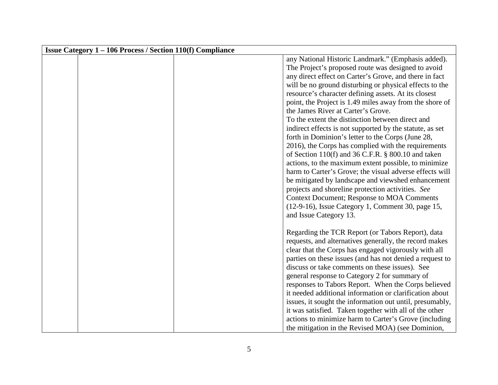| <b>Issue Category 1 – 106 Process / Section 110(f) Compliance</b> |                                                                                                                                                                                                                                                                                                                                                                                                                                                                                                                                                                                                                                                                                                                                                                                                |
|-------------------------------------------------------------------|------------------------------------------------------------------------------------------------------------------------------------------------------------------------------------------------------------------------------------------------------------------------------------------------------------------------------------------------------------------------------------------------------------------------------------------------------------------------------------------------------------------------------------------------------------------------------------------------------------------------------------------------------------------------------------------------------------------------------------------------------------------------------------------------|
|                                                                   | any National Historic Landmark." (Emphasis added).<br>The Project's proposed route was designed to avoid<br>any direct effect on Carter's Grove, and there in fact<br>will be no ground disturbing or physical effects to the<br>resource's character defining assets. At its closest<br>point, the Project is 1.49 miles away from the shore of<br>the James River at Carter's Grove.<br>To the extent the distinction between direct and<br>indirect effects is not supported by the statute, as set<br>forth in Dominion's letter to the Corps (June 28,<br>2016), the Corps has complied with the requirements<br>of Section 110(f) and 36 C.F.R. $\S$ 800.10 and taken<br>actions, to the maximum extent possible, to minimize<br>harm to Carter's Grove; the visual adverse effects will |
|                                                                   | be mitigated by landscape and viewshed enhancement<br>projects and shoreline protection activities. See<br><b>Context Document; Response to MOA Comments</b><br>(12-9-16), Issue Category 1, Comment 30, page 15,<br>and Issue Category 13.                                                                                                                                                                                                                                                                                                                                                                                                                                                                                                                                                    |
|                                                                   | Regarding the TCR Report (or Tabors Report), data<br>requests, and alternatives generally, the record makes<br>clear that the Corps has engaged vigorously with all<br>parties on these issues (and has not denied a request to<br>discuss or take comments on these issues). See<br>general response to Category 2 for summary of<br>responses to Tabors Report. When the Corps believed<br>it needed additional information or clarification about<br>issues, it sought the information out until, presumably,<br>it was satisfied. Taken together with all of the other<br>actions to minimize harm to Carter's Grove (including<br>the mitigation in the Revised MOA) (see Dominion,                                                                                                       |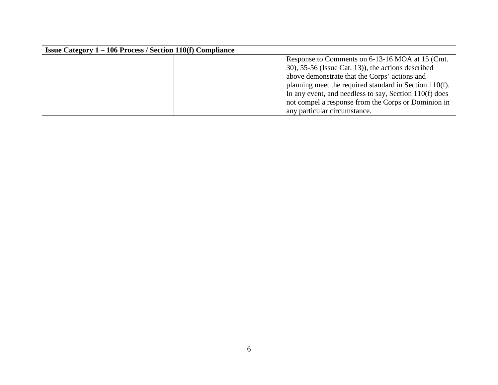| <b>Issue Category 1 – 106 Process / Section 110(f) Compliance</b> |                                                          |
|-------------------------------------------------------------------|----------------------------------------------------------|
|                                                                   | Response to Comments on 6-13-16 MOA at 15 (Cmt.          |
|                                                                   | $(30)$ , 55-56 (Issue Cat. 13)), the actions described   |
|                                                                   | above demonstrate that the Corps' actions and            |
|                                                                   | planning meet the required standard in Section 110(f).   |
|                                                                   | In any event, and needless to say, Section $110(f)$ does |
|                                                                   | not compel a response from the Corps or Dominion in      |
|                                                                   | any particular circumstance.                             |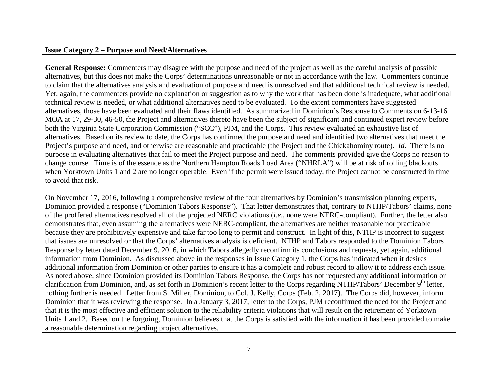#### **Issue Category 2 – Purpose and Need/Alternatives**

**General Response:** Commenters may disagree with the purpose and need of the project as well as the careful analysis of possible alternatives, but this does not make the Corps' determinations unreasonable or not in accordance with the law. Commenters continue to claim that the alternatives analysis and evaluation of purpose and need is unresolved and that additional technical review is needed. Yet, again, the commenters provide no explanation or suggestion as to why the work that has been done is inadequate, what additional technical review is needed, or what additional alternatives need to be evaluated. To the extent commenters have suggested alternatives, those have been evaluated and their flaws identified. As summarized in Dominion's Response to Comments on 6-13-16 MOA at 17, 29-30, 46-50, the Project and alternatives thereto have been the subject of significant and continued expert review before both the Virginia State Corporation Commission ("SCC"), PJM, and the Corps. This review evaluated an exhaustive list of alternatives. Based on its review to date, the Corps has confirmed the purpose and need and identified two alternatives that meet the Project's purpose and need, and otherwise are reasonable and practicable (the Project and the Chickahominy route). *Id*. There is no purpose in evaluating alternatives that fail to meet the Project purpose and need. The comments provided give the Corps no reason to change course. Time is of the essence as the Northern Hampton Roads Load Area ("NHRLA") will be at risk of rolling blackouts when Yorktown Units 1 and 2 are no longer operable. Even if the permit were issued today, the Project cannot be constructed in time to avoid that risk.

On November 17, 2016, following a comprehensive review of the four alternatives by Dominion's transmission planning experts, Dominion provided a response ("Dominion Tabors Response"). That letter demonstrates that, contrary to NTHP/Tabors' claims, none of the proffered alternatives resolved all of the projected NERC violations (*i.e*., none were NERC-compliant). Further, the letter also demonstrates that, even assuming the alternatives were NERC-compliant, the alternatives are neither reasonable nor practicable because they are prohibitively expensive and take far too long to permit and construct. In light of this, NTHP is incorrect to suggest that issues are unresolved or that the Corps' alternatives analysis is deficient. NTHP and Tabors responded to the Dominion Tabors Response by letter dated December 9, 2016, in which Tabors allegedly reconfirm its conclusions and requests, yet again, additional information from Dominion. As discussed above in the responses in Issue Category 1, the Corps has indicated when it desires additional information from Dominion or other parties to ensure it has a complete and robust record to allow it to address each issue. As noted above, since Dominion provided its Dominion Tabors Response, the Corps has not requested any additional information or clarification from Dominion, and, as set forth in Dominion's recent letter to the Corps regarding NTHP/Tabors' December 9<sup>th</sup> letter, nothing further is needed. Letter from S. Miller, Dominion, to Col. J. Kelly, Corps (Feb. 2, 2017). The Corps did, however, inform Dominion that it was reviewing the response. In a January 3, 2017, letter to the Corps, PJM reconfirmed the need for the Project and that it is the most effective and efficient solution to the reliability criteria violations that will result on the retirement of Yorktown Units 1 and 2. Based on the forgoing, Dominion believes that the Corps is satisfied with the information it has been provided to make a reasonable determination regarding project alternatives.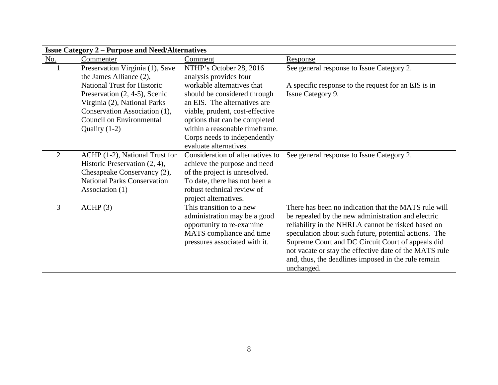|                | <b>Issue Category 2 – Purpose and Need/Alternatives</b> |                                  |                                                        |  |
|----------------|---------------------------------------------------------|----------------------------------|--------------------------------------------------------|--|
| <u>No.</u>     | Commenter                                               | Comment                          | <b>Response</b>                                        |  |
|                | Preservation Virginia (1), Save                         | NTHP's October 28, 2016          | See general response to Issue Category 2.              |  |
|                | the James Alliance (2),                                 | analysis provides four           |                                                        |  |
|                | <b>National Trust for Historic</b>                      | workable alternatives that       | A specific response to the request for an EIS is in    |  |
|                | Preservation (2, 4-5), Scenic                           | should be considered through     | Issue Category 9.                                      |  |
|                | Virginia (2), National Parks                            | an EIS. The alternatives are     |                                                        |  |
|                | Conservation Association (1),                           | viable, prudent, cost-effective  |                                                        |  |
|                | <b>Council on Environmental</b>                         | options that can be completed    |                                                        |  |
|                | Quality $(1-2)$                                         | within a reasonable timeframe.   |                                                        |  |
|                |                                                         | Corps needs to independently     |                                                        |  |
|                |                                                         | evaluate alternatives.           |                                                        |  |
| $\overline{2}$ | ACHP (1-2), National Trust for                          | Consideration of alternatives to | See general response to Issue Category 2.              |  |
|                | Historic Preservation (2, 4),                           | achieve the purpose and need     |                                                        |  |
|                | Chesapeake Conservancy (2),                             | of the project is unresolved.    |                                                        |  |
|                | <b>National Parks Conservation</b>                      | To date, there has not been a    |                                                        |  |
|                | Association (1)                                         | robust technical review of       |                                                        |  |
|                |                                                         | project alternatives.            |                                                        |  |
| 3              | ACHP(3)                                                 | This transition to a new         | There has been no indication that the MATS rule will   |  |
|                |                                                         | administration may be a good     | be repealed by the new administration and electric     |  |
|                |                                                         | opportunity to re-examine        | reliability in the NHRLA cannot be risked based on     |  |
|                |                                                         | MATS compliance and time         | speculation about such future, potential actions. The  |  |
|                |                                                         | pressures associated with it.    | Supreme Court and DC Circuit Court of appeals did      |  |
|                |                                                         |                                  | not vacate or stay the effective date of the MATS rule |  |
|                |                                                         |                                  | and, thus, the deadlines imposed in the rule remain    |  |
|                |                                                         |                                  | unchanged.                                             |  |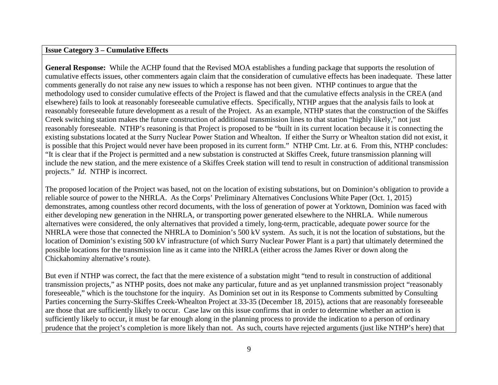**General Response:** While the ACHP found that the Revised MOA establishes a funding package that supports the resolution of cumulative effects issues, other commenters again claim that the consideration of cumulative effects has been inadequate. These latter comments generally do not raise any new issues to which a response has not been given. NTHP continues to argue that the methodology used to consider cumulative effects of the Project is flawed and that the cumulative effects analysis in the CREA (and elsewhere) fails to look at reasonably foreseeable cumulative effects. Specifically, NTHP argues that the analysis fails to look at reasonably foreseeable future development as a result of the Project. As an example, NTHP states that the construction of the Skiffes Creek switching station makes the future construction of additional transmission lines to that station "highly likely," not just reasonably foreseeable. NTHP's reasoning is that Project is proposed to be "built in its current location because it is connecting the existing substations located at the Surry Nuclear Power Station and Whealton. If either the Surry or Whealton station did not exist, it is possible that this Project would never have been proposed in its current form." NTHP Cmt. Ltr. at 6. From this, NTHP concludes: "It is clear that if the Project is permitted and a new substation is constructed at Skiffes Creek, future transmission planning will include the new station, and the mere existence of a Skiffes Creek station will tend to result in construction of additional transmission projects." *Id*. NTHP is incorrect.

The proposed location of the Project was based, not on the location of existing substations, but on Dominion's obligation to provide a reliable source of power to the NHRLA. As the Corps' Preliminary Alternatives Conclusions White Paper (Oct. 1, 2015) demonstrates, among countless other record documents, with the loss of generation of power at Yorktown, Dominion was faced with either developing new generation in the NHRLA, or transporting power generated elsewhere to the NHRLA. While numerous alternatives were considered, the only alternatives that provided a timely, long-term, practicable, adequate power source for the NHRLA were those that connected the NHRLA to Dominion's 500 kV system. As such, it is not the location of substations, but the location of Dominion's existing 500 kV infrastructure (of which Surry Nuclear Power Plant is a part) that ultimately determined the possible locations for the transmission line as it came into the NHRLA (either across the James River or down along the Chickahominy alternative's route).

But even if NTHP was correct, the fact that the mere existence of a substation might "tend to result in construction of additional transmission projects," as NTHP posits, does not make any particular, future and as yet unplanned transmission project "reasonably foreseeable," which is the touchstone for the inquiry. As Dominion set out in its Response to Comments submitted by Consulting Parties concerning the Surry-Skiffes Creek-Whealton Project at 33-35 (December 18, 2015), actions that are reasonably foreseeable are those that are sufficiently likely to occur. Case law on this issue confirms that in order to determine whether an action is sufficiently likely to occur, it must be far enough along in the planning process to provide the indication to a person of ordinary prudence that the project's completion is more likely than not. As such, courts have rejected arguments (just like NTHP's here) that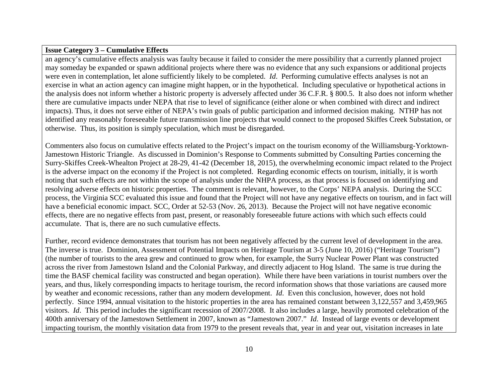an agency's cumulative effects analysis was faulty because it failed to consider the mere possibility that a currently planned project may someday be expanded or spawn additional projects where there was no evidence that any such expansions or additional projects were even in contemplation, let alone sufficiently likely to be completed. *Id*. Performing cumulative effects analyses is not an exercise in what an action agency can imagine might happen, or in the hypothetical. Including speculative or hypothetical actions in the analysis does not inform whether a historic property is adversely affected under 36 C.F.R. § 800.5. It also does not inform whether there are cumulative impacts under NEPA that rise to level of significance (either alone or when combined with direct and indirect impacts). Thus, it does not serve either of NEPA's twin goals of public participation and informed decision making. NTHP has not identified any reasonably foreseeable future transmission line projects that would connect to the proposed Skiffes Creek Substation, or otherwise. Thus, its position is simply speculation, which must be disregarded.

Commenters also focus on cumulative effects related to the Project's impact on the tourism economy of the Williamsburg-Yorktown-Jamestown Historic Triangle. As discussed in Dominion's Response to Comments submitted by Consulting Parties concerning the Surry-Skiffes Creek-Whealton Project at 28-29, 41-42 (December 18, 2015), the overwhelming economic impact related to the Project is the adverse impact on the economy if the Project is not completed. Regarding economic effects on tourism, initially, it is worth noting that such effects are not within the scope of analysis under the NHPA process, as that process is focused on identifying and resolving adverse effects on historic properties. The comment is relevant, however, to the Corps' NEPA analysis. During the SCC process, the Virginia SCC evaluated this issue and found that the Project will not have any negative effects on tourism, and in fact will have a beneficial economic impact. SCC, Order at 52-53 (Nov. 26, 2013). Because the Project will not have negative economic effects, there are no negative effects from past, present, or reasonably foreseeable future actions with which such effects could accumulate. That is, there are no such cumulative effects.

Further, record evidence demonstrates that tourism has not been negatively affected by the current level of development in the area. The inverse is true. Dominion, Assessment of Potential Impacts on Heritage Tourism at 3-5 (June 10, 2016) ("Heritage Tourism") (the number of tourists to the area grew and continued to grow when, for example, the Surry Nuclear Power Plant was constructed across the river from Jamestown Island and the Colonial Parkway, and directly adjacent to Hog Island. The same is true during the time the BASF chemical facility was constructed and began operation).While there have been variations in tourist numbers over the years, and thus, likely corresponding impacts to heritage tourism, the record information shows that those variations are caused more by weather and economic recessions, rather than any modern development. *Id*. Even this conclusion, however, does not hold perfectly. Since 1994, annual visitation to the historic properties in the area has remained constant between 3,122,557 and 3,459,965 visitors. *Id*. This period includes the significant recession of 2007/2008. It also includes a large, heavily promoted celebration of the 400th anniversary of the Jamestown Settlement in 2007, known as "Jamestown 2007." *Id*. Instead of large events or development impacting tourism, the monthly visitation data from 1979 to the present reveals that, year in and year out, visitation increases in late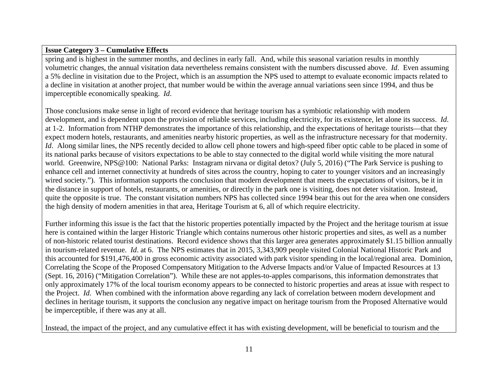spring and is highest in the summer months, and declines in early fall. And, while this seasonal variation results in monthly volumetric changes, the annual visitation data nevertheless remains consistent with the numbers discussed above. *Id*. Even assuming a 5% decline in visitation due to the Project, which is an assumption the NPS used to attempt to evaluate economic impacts related to a decline in visitation at another project, that number would be within the average annual variations seen since 1994, and thus be imperceptible economically speaking. *Id*.

Those conclusions make sense in light of record evidence that heritage tourism has a symbiotic relationship with modern development, and is dependent upon the provision of reliable services, including electricity, for its existence, let alone its success. *Id*. at 1-2. Information from NTHP demonstrates the importance of this relationship, and the expectations of heritage tourists—that they expect modern hotels, restaurants, and amenities nearby historic properties, as well as the infrastructure necessary for that modernity. *Id*. Along similar lines, the NPS recently decided to allow cell phone towers and high-speed fiber optic cable to be placed in some of its national parks because of visitors expectations to be able to stay connected to the digital world while visiting the more natural world. Greenwire, NPS@100: National Parks: Instagram nirvana or digital detox? (July 5, 2016) ("The Park Service is pushing to enhance cell and internet connectivity at hundreds of sites across the country, hoping to cater to younger visitors and an increasingly wired society."). This information supports the conclusion that modern development that meets the expectations of visitors, be it in the distance in support of hotels, restaurants, or amenities, or directly in the park one is visiting, does not deter visitation. Instead, quite the opposite is true. The constant visitation numbers NPS has collected since 1994 bear this out for the area when one considers the high density of modern amenities in that area, Heritage Tourism at 6, all of which require electricity.

Further informing this issue is the fact that the historic properties potentially impacted by the Project and the heritage tourism at issue here is contained within the larger Historic Triangle which contains numerous other historic properties and sites, as well as a number of non-historic related tourist destinations. Record evidence shows that this larger area generates approximately \$1.15 billion annually in tourism-related revenue. *Id*. at 6. The NPS estimates that in 2015, 3,343,909 people visited Colonial National Historic Park and this accounted for \$191,476,400 in gross economic activity associated with park visitor spending in the local/regional area. Dominion, Correlating the Scope of the Proposed Compensatory Mitigation to the Adverse Impacts and/or Value of Impacted Resources at 13 (Sept. 16, 2016) ("Mitigation Correlation"). While these are not apples-to-apples comparisons, this information demonstrates that only approximately 17% of the local tourism economy appears to be connected to historic properties and areas at issue with respect to the Project. *Id*. When combined with the information above regarding any lack of correlation between modern development and declines in heritage tourism, it supports the conclusion any negative impact on heritage tourism from the Proposed Alternative would be imperceptible, if there was any at all.

Instead, the impact of the project, and any cumulative effect it has with existing development, will be beneficial to tourism and the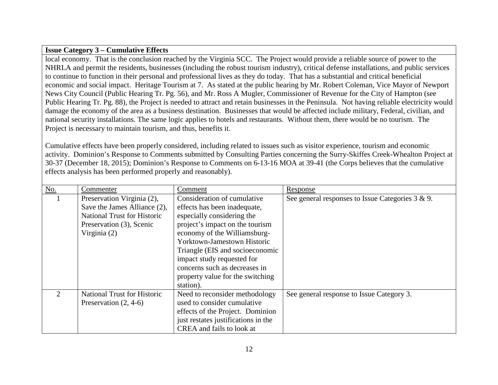local economy. That is the conclusion reached by the Virginia SCC. The Project would provide a reliable source of power to the NHRLA and permit the residents, businesses (including the robust tourism industry), critical defense installations, and public services to continue to function in their personal and professional lives as they do today. That has a substantial and critical beneficial economic and social impact. Heritage Tourism at 7. As stated at the public hearing by Mr. Robert Coleman, Vice Mayor of Newport News City Council (Public Hearing Tr. Pg. 56), and Mr. Ross A Mugler, Commissioner of Revenue for the City of Hampton (see Public Hearing Tr. Pg. 88), the Project is needed to attract and retain businesses in the Peninsula. Not having reliable electricity would damage the economy of the area as a business destination. Businesses that would be affected include military, Federal, civilian, and national security installations. The same logic applies to hotels and restaurants. Without them, there would be no tourism. The Project is necessary to maintain tourism, and thus, benefits it.

Cumulative effects have been properly considered, including related to issues such as visitor experience, tourism and economic activity. Dominion's Response to Comments submitted by Consulting Parties concerning the Surry-Skiffes Creek-Whealton Project at 30-37 (December 18, 2015); Dominion's Response to Comments on 6-13-16 MOA at 39-41 (the Corps believes that the cumulative effects analysis has been performed properly and reasonably).

| No.                         | Commenter                          | Comment                             | Response                                             |
|-----------------------------|------------------------------------|-------------------------------------|------------------------------------------------------|
|                             | Preservation Virginia (2),         | Consideration of cumulative         | See general responses to Issue Categories $3 \& 9$ . |
|                             | Save the James Alliance (2),       | effects has been inadequate,        |                                                      |
|                             | <b>National Trust for Historic</b> | especially considering the          |                                                      |
|                             | Preservation (3), Scenic           | project's impact on the tourism     |                                                      |
|                             | Virginia (2)                       | economy of the Williamsburg-        |                                                      |
|                             |                                    | Yorktown-Jamestown Historic         |                                                      |
|                             |                                    | Triangle (EIS and socioeconomic     |                                                      |
|                             |                                    | impact study requested for          |                                                      |
|                             |                                    | concerns such as decreases in       |                                                      |
|                             |                                    | property value for the switching    |                                                      |
|                             |                                    | station).                           |                                                      |
| $\mathcal{D}_{\mathcal{L}}$ | <b>National Trust for Historic</b> | Need to reconsider methodology      | See general response to Issue Category 3.            |
|                             | Preservation $(2, 4-6)$            | used to consider cumulative         |                                                      |
|                             |                                    | effects of the Project. Dominion    |                                                      |
|                             |                                    | just restates justifications in the |                                                      |
|                             |                                    | CREA and fails to look at           |                                                      |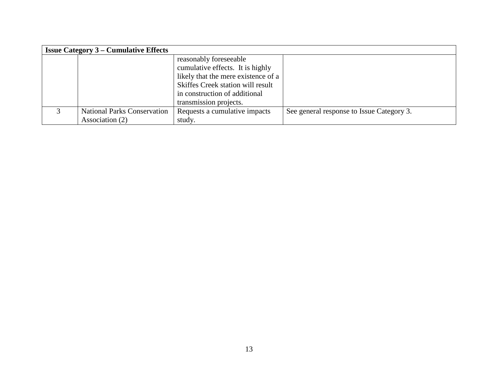| <b>Issue Category 3 – Cumulative Effects</b> |                                   |                                           |
|----------------------------------------------|-----------------------------------|-------------------------------------------|
|                                              | reasonably foreseeable            |                                           |
| cumulative effects. It is highly             |                                   |                                           |
| likely that the mere existence of a          |                                   |                                           |
|                                              | Skiffes Creek station will result |                                           |
|                                              | in construction of additional     |                                           |
|                                              | transmission projects.            |                                           |
| <b>National Parks Conservation</b>           | Requests a cumulative impacts     | See general response to Issue Category 3. |
| Association (2)                              | study.                            |                                           |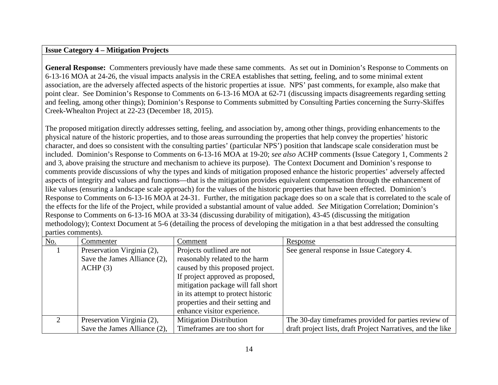#### **Issue Category 4 – Mitigation Projects**

**General Response:** Commenters previously have made these same comments. As set out in Dominion's Response to Comments on 6-13-16 MOA at 24-26, the visual impacts analysis in the CREA establishes that setting, feeling, and to some minimal extent association, are the adversely affected aspects of the historic properties at issue. NPS' past comments, for example, also make that point clear. See Dominion's Response to Comments on 6-13-16 MOA at 62-71 (discussing impacts disagreements regarding setting and feeling, among other things); Dominion's Response to Comments submitted by Consulting Parties concerning the Surry-Skiffes Creek-Whealton Project at 22-23 (December 18, 2015).

The proposed mitigation directly addresses setting, feeling, and association by, among other things, providing enhancements to the physical nature of the historic properties, and to those areas surrounding the properties that help convey the properties' historic character, and does so consistent with the consulting parties' (particular NPS') position that landscape scale consideration must be included. Dominion's Response to Comments on 6-13-16 MOA at 19-20; *see also* ACHP comments (Issue Category 1, Comments 2 and 3, above praising the structure and mechanism to achieve its purpose). The Context Document and Dominion's response to comments provide discussions of why the types and kinds of mitigation proposed enhance the historic properties' adversely affected aspects of integrity and values and functions—that is the mitigation provides equivalent compensation through the enhancement of like values (ensuring a landscape scale approach) for the values of the historic properties that have been effected. Dominion's Response to Comments on 6-13-16 MOA at 24-31. Further, the mitigation package does so on a scale that is correlated to the scale of the effects for the life of the Project, while provided a substantial amount of value added. *See* Mitigation Correlation; Dominion's Response to Comments on 6-13-16 MOA at 33-34 (discussing durability of mitigation), 43-45 (discussing the mitigation methodology); Context Document at 5-6 (detailing the process of developing the mitigation in a that best addressed the consulting parties comments).

| $\underline{\mathrm{No}}$ . | Commenter                    | Comment                            | Response                                                    |
|-----------------------------|------------------------------|------------------------------------|-------------------------------------------------------------|
|                             | Preservation Virginia (2),   | Projects outlined are not          | See general response in Issue Category 4.                   |
|                             | Save the James Alliance (2), | reasonably related to the harm     |                                                             |
|                             | ACHP(3)                      | caused by this proposed project.   |                                                             |
|                             |                              | If project approved as proposed,   |                                                             |
|                             |                              | mitigation package will fall short |                                                             |
|                             |                              | in its attempt to protect historic |                                                             |
|                             |                              | properties and their setting and   |                                                             |
|                             |                              | enhance visitor experience.        |                                                             |
| $\mathcal{D}_{\mathcal{L}}$ | Preservation Virginia (2),   | <b>Mitigation Distribution</b>     | The 30-day time frames provided for parties review of       |
|                             | Save the James Alliance (2), | Timeframes are too short for       | draft project lists, draft Project Narratives, and the like |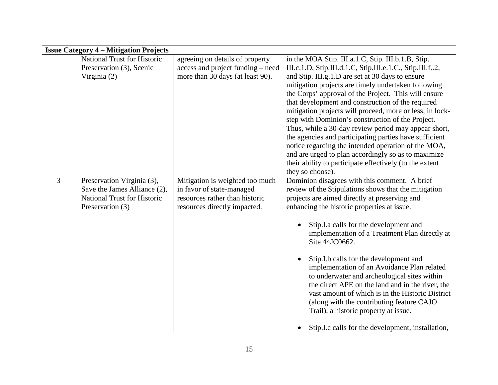|                | <b>Issue Category 4 – Mitigation Projects</b>                                                                        |                                                                                                                                |                                                                                                                                                                                                                                                                                                                                                                                                                                                                                                                                                                                                                                                                                                                                                                        |
|----------------|----------------------------------------------------------------------------------------------------------------------|--------------------------------------------------------------------------------------------------------------------------------|------------------------------------------------------------------------------------------------------------------------------------------------------------------------------------------------------------------------------------------------------------------------------------------------------------------------------------------------------------------------------------------------------------------------------------------------------------------------------------------------------------------------------------------------------------------------------------------------------------------------------------------------------------------------------------------------------------------------------------------------------------------------|
|                | <b>National Trust for Historic</b><br>Preservation (3), Scenic<br>Virginia (2)                                       | agreeing on details of property<br>access and project funding – need<br>more than 30 days (at least 90).                       | in the MOA Stip. III.a.1.C, Stip. III.b.1.B, Stip.<br>III.c.1.D, Stip.III.d.1.C, Stip.III.e.1.C., Stip.III.f2,<br>and Stip. III.g.1.D are set at 30 days to ensure<br>mitigation projects are timely undertaken following<br>the Corps' approval of the Project. This will ensure<br>that development and construction of the required<br>mitigation projects will proceed, more or less, in lock-<br>step with Dominion's construction of the Project.<br>Thus, while a 30-day review period may appear short,<br>the agencies and participating parties have sufficient<br>notice regarding the intended operation of the MOA,<br>and are urged to plan accordingly so as to maximize<br>their ability to participate effectively (to the extent<br>they so choose). |
| $\overline{3}$ | Preservation Virginia (3),<br>Save the James Alliance (2),<br><b>National Trust for Historic</b><br>Preservation (3) | Mitigation is weighted too much<br>in favor of state-managed<br>resources rather than historic<br>resources directly impacted. | Dominion disagrees with this comment. A brief<br>review of the Stipulations shows that the mitigation<br>projects are aimed directly at preserving and<br>enhancing the historic properties at issue.<br>Stip.I.a calls for the development and<br>implementation of a Treatment Plan directly at<br>Site 44JC0662.<br>Stip.I.b calls for the development and<br>$\bullet$<br>implementation of an Avoidance Plan related<br>to underwater and archeological sites within<br>the direct APE on the land and in the river, the<br>vast amount of which is in the Historic District<br>(along with the contributing feature CAJO<br>Trail), a historic property at issue.<br>Stip.I.c calls for the development, installation,                                           |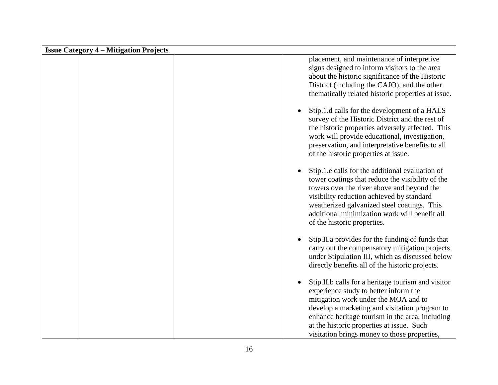| <b>Issue Category 4 – Mitigation Projects</b> |                                                                                                                                                                                                                                                                                                                                      |
|-----------------------------------------------|--------------------------------------------------------------------------------------------------------------------------------------------------------------------------------------------------------------------------------------------------------------------------------------------------------------------------------------|
|                                               | placement, and maintenance of interpretive<br>signs designed to inform visitors to the area<br>about the historic significance of the Historic<br>District (including the CAJO), and the other<br>thematically related historic properties at issue.                                                                                 |
|                                               | Stip.1.d calls for the development of a HALS<br>survey of the Historic District and the rest of<br>the historic properties adversely effected. This<br>work will provide educational, investigation,<br>preservation, and interpretative benefits to all<br>of the historic properties at issue.                                     |
|                                               | Stip.1.e calls for the additional evaluation of<br>tower coatings that reduce the visibility of the<br>towers over the river above and beyond the<br>visibility reduction achieved by standard<br>weatherized galvanized steel coatings. This<br>additional minimization work will benefit all<br>of the historic properties.        |
|                                               | Stip.II.a provides for the funding of funds that<br>carry out the compensatory mitigation projects<br>under Stipulation III, which as discussed below<br>directly benefits all of the historic projects.                                                                                                                             |
|                                               | Stip.II.b calls for a heritage tourism and visitor<br>experience study to better inform the<br>mitigation work under the MOA and to<br>develop a marketing and visitation program to<br>enhance heritage tourism in the area, including<br>at the historic properties at issue. Such<br>visitation brings money to those properties, |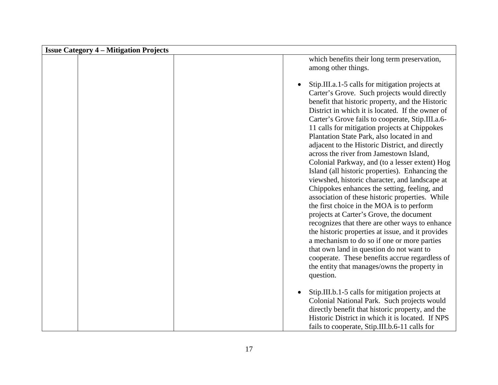| <b>Issue Category 4 – Mitigation Projects</b> |                                                                                                                                                                                                                                                                                                                                                                                                                                                                                                                                                                                                                                                                                                                                                                                                                                                                                                                                                                                                                                                                                                                               |  |
|-----------------------------------------------|-------------------------------------------------------------------------------------------------------------------------------------------------------------------------------------------------------------------------------------------------------------------------------------------------------------------------------------------------------------------------------------------------------------------------------------------------------------------------------------------------------------------------------------------------------------------------------------------------------------------------------------------------------------------------------------------------------------------------------------------------------------------------------------------------------------------------------------------------------------------------------------------------------------------------------------------------------------------------------------------------------------------------------------------------------------------------------------------------------------------------------|--|
|                                               | which benefits their long term preservation,<br>among other things.                                                                                                                                                                                                                                                                                                                                                                                                                                                                                                                                                                                                                                                                                                                                                                                                                                                                                                                                                                                                                                                           |  |
|                                               | Stip.III.a.1-5 calls for mitigation projects at<br>Carter's Grove. Such projects would directly<br>benefit that historic property, and the Historic<br>District in which it is located. If the owner of<br>Carter's Grove fails to cooperate, Stip.III.a.6-<br>11 calls for mitigation projects at Chippokes<br>Plantation State Park, also located in and<br>adjacent to the Historic District, and directly<br>across the river from Jamestown Island,<br>Colonial Parkway, and (to a lesser extent) Hog<br>Island (all historic properties). Enhancing the<br>viewshed, historic character, and landscape at<br>Chippokes enhances the setting, feeling, and<br>association of these historic properties. While<br>the first choice in the MOA is to perform<br>projects at Carter's Grove, the document<br>recognizes that there are other ways to enhance<br>the historic properties at issue, and it provides<br>a mechanism to do so if one or more parties<br>that own land in question do not want to<br>cooperate. These benefits accrue regardless of<br>the entity that manages/owns the property in<br>question. |  |
|                                               | Stip.III.b.1-5 calls for mitigation projects at<br>Colonial National Park. Such projects would<br>directly benefit that historic property, and the<br>Historic District in which it is located. If NPS<br>fails to cooperate, Stip.III.b.6-11 calls for                                                                                                                                                                                                                                                                                                                                                                                                                                                                                                                                                                                                                                                                                                                                                                                                                                                                       |  |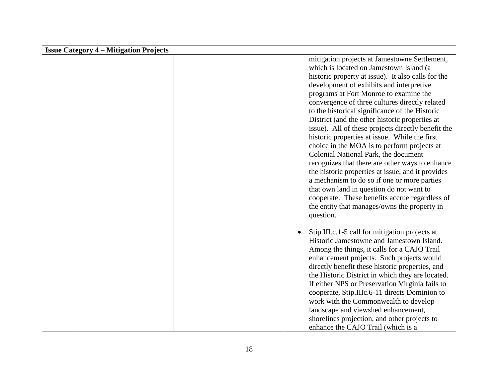| <b>Issue Category 4 – Mitigation Projects</b> |                                                                                                                                                                                                                                                                                                                                                                                                                                                                                                                                                                                                                                                                                                                                                                                                                                                                                                            |
|-----------------------------------------------|------------------------------------------------------------------------------------------------------------------------------------------------------------------------------------------------------------------------------------------------------------------------------------------------------------------------------------------------------------------------------------------------------------------------------------------------------------------------------------------------------------------------------------------------------------------------------------------------------------------------------------------------------------------------------------------------------------------------------------------------------------------------------------------------------------------------------------------------------------------------------------------------------------|
|                                               | mitigation projects at Jamestowne Settlement,<br>which is located on Jamestown Island (a<br>historic property at issue). It also calls for the<br>development of exhibits and interpretive<br>programs at Fort Monroe to examine the<br>convergence of three cultures directly related<br>to the historical significance of the Historic<br>District (and the other historic properties at<br>issue). All of these projects directly benefit the<br>historic properties at issue. While the first<br>choice in the MOA is to perform projects at<br>Colonial National Park, the document<br>recognizes that there are other ways to enhance<br>the historic properties at issue, and it provides<br>a mechanism to do so if one or more parties<br>that own land in question do not want to<br>cooperate. These benefits accrue regardless of<br>the entity that manages/owns the property in<br>question. |
|                                               | Stip.III.c.1-5 call for mitigation projects at<br>$\bullet$<br>Historic Jamestowne and Jamestown Island.<br>Among the things, it calls for a CAJO Trail<br>enhancement projects. Such projects would<br>directly benefit these historic properties, and<br>the Historic District in which they are located.<br>If either NPS or Preservation Virginia fails to<br>cooperate, Stip.IIIc.6-11 directs Dominion to<br>work with the Commonwealth to develop<br>landscape and viewshed enhancement,<br>shorelines projection, and other projects to<br>enhance the CAJO Trail (which is a                                                                                                                                                                                                                                                                                                                      |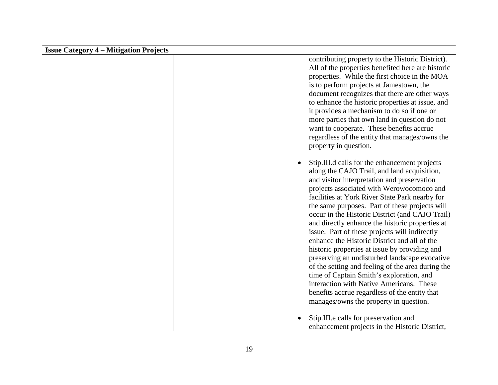| <b>Issue Category 4 – Mitigation Projects</b> |                                                                                                                                                                                                                                                                                                                                                                                                                                                                                                                                                                                                                                                                                                                                                                                                                                               |
|-----------------------------------------------|-----------------------------------------------------------------------------------------------------------------------------------------------------------------------------------------------------------------------------------------------------------------------------------------------------------------------------------------------------------------------------------------------------------------------------------------------------------------------------------------------------------------------------------------------------------------------------------------------------------------------------------------------------------------------------------------------------------------------------------------------------------------------------------------------------------------------------------------------|
|                                               | contributing property to the Historic District).<br>All of the properties benefited here are historic<br>properties. While the first choice in the MOA<br>is to perform projects at Jamestown, the<br>document recognizes that there are other ways<br>to enhance the historic properties at issue, and<br>it provides a mechanism to do so if one or<br>more parties that own land in question do not<br>want to cooperate. These benefits accrue<br>regardless of the entity that manages/owns the<br>property in question.                                                                                                                                                                                                                                                                                                                 |
|                                               | Stip.III.d calls for the enhancement projects<br>along the CAJO Trail, and land acquisition,<br>and visitor interpretation and preservation<br>projects associated with Werowocomoco and<br>facilities at York River State Park nearby for<br>the same purposes. Part of these projects will<br>occur in the Historic District (and CAJO Trail)<br>and directly enhance the historic properties at<br>issue. Part of these projects will indirectly<br>enhance the Historic District and all of the<br>historic properties at issue by providing and<br>preserving an undisturbed landscape evocative<br>of the setting and feeling of the area during the<br>time of Captain Smith's exploration, and<br>interaction with Native Americans. These<br>benefits accrue regardless of the entity that<br>manages/owns the property in question. |
|                                               | Stip.III.e calls for preservation and<br>enhancement projects in the Historic District,                                                                                                                                                                                                                                                                                                                                                                                                                                                                                                                                                                                                                                                                                                                                                       |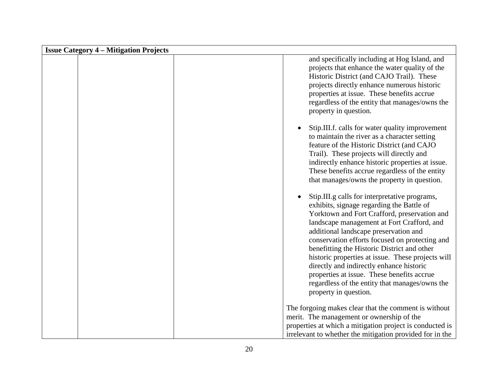| <b>Issue Category 4 – Mitigation Projects</b> |  |                                                                                                                                                                                                                                                                                                                                                                                                                                                                                                                                                              |
|-----------------------------------------------|--|--------------------------------------------------------------------------------------------------------------------------------------------------------------------------------------------------------------------------------------------------------------------------------------------------------------------------------------------------------------------------------------------------------------------------------------------------------------------------------------------------------------------------------------------------------------|
|                                               |  | and specifically including at Hog Island, and<br>projects that enhance the water quality of the<br>Historic District (and CAJO Trail). These<br>projects directly enhance numerous historic<br>properties at issue. These benefits accrue<br>regardless of the entity that manages/owns the<br>property in question.                                                                                                                                                                                                                                         |
|                                               |  | Stip.III.f. calls for water quality improvement<br>to maintain the river as a character setting<br>feature of the Historic District (and CAJO<br>Trail). These projects will directly and<br>indirectly enhance historic properties at issue.<br>These benefits accrue regardless of the entity<br>that manages/owns the property in question.                                                                                                                                                                                                               |
|                                               |  | Stip.III.g calls for interpretative programs,<br>exhibits, signage regarding the Battle of<br>Yorktown and Fort Crafford, preservation and<br>landscape management at Fort Crafford, and<br>additional landscape preservation and<br>conservation efforts focused on protecting and<br>benefitting the Historic District and other<br>historic properties at issue. These projects will<br>directly and indirectly enhance historic<br>properties at issue. These benefits accrue<br>regardless of the entity that manages/owns the<br>property in question. |
|                                               |  | The forgoing makes clear that the comment is without<br>merit. The management or ownership of the<br>properties at which a mitigation project is conducted is<br>irrelevant to whether the mitigation provided for in the                                                                                                                                                                                                                                                                                                                                    |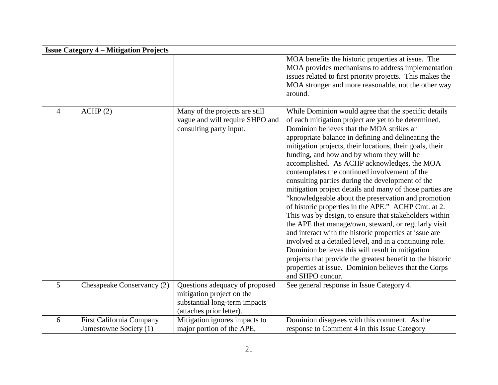|                | <b>Issue Category 4 – Mitigation Projects</b>             |                                                                                                                          |                                                                                                                                                                                                                                                                                                                                                                                                                                                                                                                                                                                                                                                                                                                                                                                                                                                                                                                                                                                                                                                                                               |  |
|----------------|-----------------------------------------------------------|--------------------------------------------------------------------------------------------------------------------------|-----------------------------------------------------------------------------------------------------------------------------------------------------------------------------------------------------------------------------------------------------------------------------------------------------------------------------------------------------------------------------------------------------------------------------------------------------------------------------------------------------------------------------------------------------------------------------------------------------------------------------------------------------------------------------------------------------------------------------------------------------------------------------------------------------------------------------------------------------------------------------------------------------------------------------------------------------------------------------------------------------------------------------------------------------------------------------------------------|--|
|                |                                                           |                                                                                                                          | MOA benefits the historic properties at issue. The<br>MOA provides mechanisms to address implementation<br>issues related to first priority projects. This makes the<br>MOA stronger and more reasonable, not the other way<br>around.                                                                                                                                                                                                                                                                                                                                                                                                                                                                                                                                                                                                                                                                                                                                                                                                                                                        |  |
| $\overline{4}$ | ACHP(2)                                                   | Many of the projects are still<br>vague and will require SHPO and<br>consulting party input.                             | While Dominion would agree that the specific details<br>of each mitigation project are yet to be determined,<br>Dominion believes that the MOA strikes an<br>appropriate balance in defining and delineating the<br>mitigation projects, their locations, their goals, their<br>funding, and how and by whom they will be<br>accomplished. As ACHP acknowledges, the MOA<br>contemplates the continued involvement of the<br>consulting parties during the development of the<br>mitigation project details and many of those parties are<br>"knowledgeable about the preservation and promotion<br>of historic properties in the APE." ACHP Cmt. at 2.<br>This was by design, to ensure that stakeholders within<br>the APE that manage/own, steward, or regularly visit<br>and interact with the historic properties at issue are<br>involved at a detailed level, and in a continuing role.<br>Dominion believes this will result in mitigation<br>projects that provide the greatest benefit to the historic<br>properties at issue. Dominion believes that the Corps<br>and SHPO concur. |  |
| 5              | Chesapeake Conservancy (2)                                | Questions adequacy of proposed<br>mitigation project on the<br>substantial long-term impacts<br>(attaches prior letter). | See general response in Issue Category 4.                                                                                                                                                                                                                                                                                                                                                                                                                                                                                                                                                                                                                                                                                                                                                                                                                                                                                                                                                                                                                                                     |  |
| 6              | <b>First California Company</b><br>Jamestowne Society (1) | Mitigation ignores impacts to<br>major portion of the APE,                                                               | Dominion disagrees with this comment. As the<br>response to Comment 4 in this Issue Category                                                                                                                                                                                                                                                                                                                                                                                                                                                                                                                                                                                                                                                                                                                                                                                                                                                                                                                                                                                                  |  |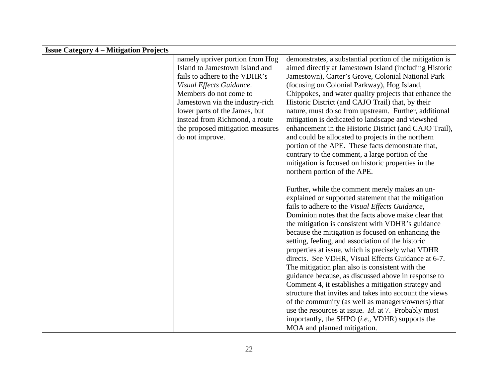| <b>Issue Category 4 – Mitigation Projects</b> |                                  |                                                            |
|-----------------------------------------------|----------------------------------|------------------------------------------------------------|
|                                               | namely upriver portion from Hog  | demonstrates, a substantial portion of the mitigation is   |
|                                               | Island to Jamestown Island and   | aimed directly at Jamestown Island (including Historic     |
|                                               | fails to adhere to the VDHR's    | Jamestown), Carter's Grove, Colonial National Park         |
|                                               | Visual Effects Guidance.         | (focusing on Colonial Parkway), Hog Island,                |
|                                               | Members do not come to           | Chippokes, and water quality projects that enhance the     |
|                                               | Jamestown via the industry-rich  | Historic District (and CAJO Trail) that, by their          |
|                                               | lower parts of the James, but    | nature, must do so from upstream. Further, additional      |
|                                               | instead from Richmond, a route   | mitigation is dedicated to landscape and viewshed          |
|                                               | the proposed mitigation measures | enhancement in the Historic District (and CAJO Trail),     |
|                                               | do not improve.                  | and could be allocated to projects in the northern         |
|                                               |                                  | portion of the APE. These facts demonstrate that,          |
|                                               |                                  | contrary to the comment, a large portion of the            |
|                                               |                                  | mitigation is focused on historic properties in the        |
|                                               |                                  | northern portion of the APE.                               |
|                                               |                                  |                                                            |
|                                               |                                  | Further, while the comment merely makes an un-             |
|                                               |                                  | explained or supported statement that the mitigation       |
|                                               |                                  | fails to adhere to the Visual Effects Guidance,            |
|                                               |                                  | Dominion notes that the facts above make clear that        |
|                                               |                                  | the mitigation is consistent with VDHR's guidance          |
|                                               |                                  | because the mitigation is focused on enhancing the         |
|                                               |                                  | setting, feeling, and association of the historic          |
|                                               |                                  | properties at issue, which is precisely what VDHR          |
|                                               |                                  | directs. See VDHR, Visual Effects Guidance at 6-7.         |
|                                               |                                  | The mitigation plan also is consistent with the            |
|                                               |                                  | guidance because, as discussed above in response to        |
|                                               |                                  | Comment 4, it establishes a mitigation strategy and        |
|                                               |                                  | structure that invites and takes into account the views    |
|                                               |                                  | of the community (as well as managers/owners) that         |
|                                               |                                  | use the resources at issue. <i>Id.</i> at 7. Probably most |
|                                               |                                  | importantly, the SHPO ( <i>i.e.</i> , VDHR) supports the   |
|                                               |                                  | MOA and planned mitigation.                                |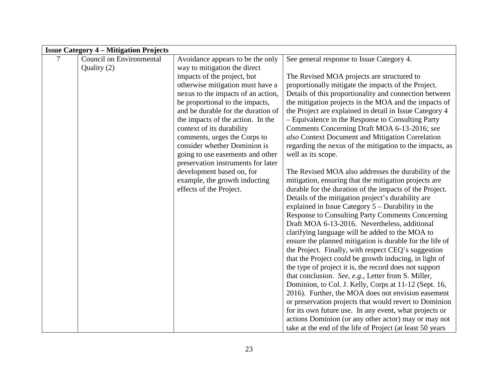| <b>Issue Category 4 – Mitigation Projects</b> |                          |                                    |                                                           |
|-----------------------------------------------|--------------------------|------------------------------------|-----------------------------------------------------------|
| 7                                             | Council on Environmental | Avoidance appears to be the only   | See general response to Issue Category 4.                 |
|                                               | Quality (2)              | way to mitigation the direct       |                                                           |
|                                               |                          | impacts of the project, but        | The Revised MOA projects are structured to                |
|                                               |                          | otherwise mitigation must have a   | proportionally mitigate the impacts of the Project.       |
|                                               |                          | nexus to the impacts of an action, | Details of this proportionality and connection between    |
|                                               |                          | be proportional to the impacts,    | the mitigation projects in the MOA and the impacts of     |
|                                               |                          | and be durable for the duration of | the Project are explained in detail in Issue Category 4   |
|                                               |                          | the impacts of the action. In the  | - Equivalence in the Response to Consulting Party         |
|                                               |                          | context of its durability          | Comments Concerning Draft MOA 6-13-2016; see              |
|                                               |                          | comments, urges the Corps to       | also Context Document and Mitigation Correlation          |
|                                               |                          | consider whether Dominion is       | regarding the nexus of the mitigation to the impacts, as  |
|                                               |                          | going to use easements and other   | well as its scope.                                        |
|                                               |                          | preservation instruments for later |                                                           |
|                                               |                          | development based on, for          | The Revised MOA also addresses the durability of the      |
|                                               |                          | example, the growth inducting      | mitigation, ensuring that the mitigation projects are     |
|                                               |                          | effects of the Project.            | durable for the duration of the impacts of the Project.   |
|                                               |                          |                                    | Details of the mitigation project's durability are        |
|                                               |                          |                                    | explained in Issue Category $5 -$ Durability in the       |
|                                               |                          |                                    | <b>Response to Consulting Party Comments Concerning</b>   |
|                                               |                          |                                    | Draft MOA 6-13-2016. Nevertheless, additional             |
|                                               |                          |                                    | clarifying language will be added to the MOA to           |
|                                               |                          |                                    | ensure the planned mitigation is durable for the life of  |
|                                               |                          |                                    | the Project. Finally, with respect CEQ's suggestion       |
|                                               |                          |                                    | that the Project could be growth inducing, in light of    |
|                                               |                          |                                    | the type of project it is, the record does not support    |
|                                               |                          |                                    | that conclusion. See, e.g., Letter from S. Miller,        |
|                                               |                          |                                    | Dominion, to Col. J. Kelly, Corps at 11-12 (Sept. 16,     |
|                                               |                          |                                    | 2016). Further, the MOA does not envision easement        |
|                                               |                          |                                    | or preservation projects that would revert to Dominion    |
|                                               |                          |                                    | for its own future use. In any event, what projects or    |
|                                               |                          |                                    | actions Dominion (or any other actor) may or may not      |
|                                               |                          |                                    | take at the end of the life of Project (at least 50 years |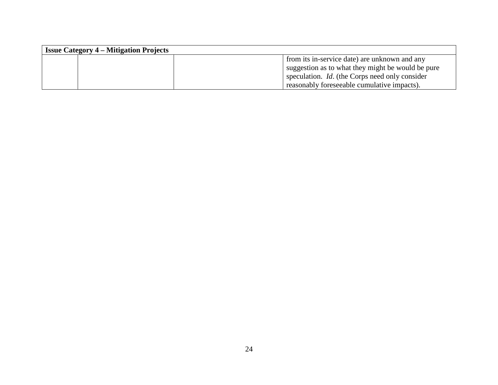| <b>Issue Category 4 – Mitigation Projects</b> |                                                       |  |  |
|-----------------------------------------------|-------------------------------------------------------|--|--|
|                                               | from its in-service date) are unknown and any         |  |  |
|                                               | suggestion as to what they might be would be pure     |  |  |
|                                               | speculation. <i>Id.</i> (the Corps need only consider |  |  |
|                                               | reasonably foreseeable cumulative impacts).           |  |  |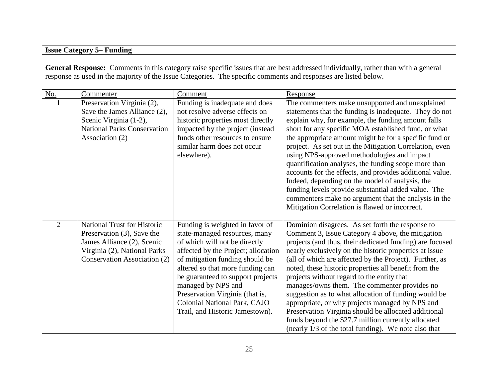# **Issue Category 5– Funding**

**General Response:** Comments in this category raise specific issues that are best addressed individually, rather than with a general response as used in the majority of the Issue Categories. The specific comments and responses are listed below.

| No.            | Commenter                                                                                                                                                      | Comment                                                                                                                                                                                                                                                                                                                                                                          | Response                                                                                                                                                                                                                                                                                                                                                                                                                                                                                                                                                                                                                                                                                                                            |
|----------------|----------------------------------------------------------------------------------------------------------------------------------------------------------------|----------------------------------------------------------------------------------------------------------------------------------------------------------------------------------------------------------------------------------------------------------------------------------------------------------------------------------------------------------------------------------|-------------------------------------------------------------------------------------------------------------------------------------------------------------------------------------------------------------------------------------------------------------------------------------------------------------------------------------------------------------------------------------------------------------------------------------------------------------------------------------------------------------------------------------------------------------------------------------------------------------------------------------------------------------------------------------------------------------------------------------|
|                | Preservation Virginia (2),<br>Save the James Alliance (2),<br>Scenic Virginia (1-2),<br><b>National Parks Conservation</b><br>Association (2)                  | Funding is inadequate and does<br>not resolve adverse effects on<br>historic properties most directly<br>impacted by the project (instead<br>funds other resources to ensure<br>similar harm does not occur<br>elsewhere).                                                                                                                                                       | The commenters make unsupported and unexplained<br>statements that the funding is inadequate. They do not<br>explain why, for example, the funding amount falls<br>short for any specific MOA established fund, or what<br>the appropriate amount might be for a specific fund or<br>project. As set out in the Mitigation Correlation, even<br>using NPS-approved methodologies and impact<br>quantification analyses, the funding scope more than<br>accounts for the effects, and provides additional value.<br>Indeed, depending on the model of analysis, the<br>funding levels provide substantial added value. The<br>commenters make no argument that the analysis in the<br>Mitigation Correlation is flawed or incorrect. |
| $\overline{2}$ | <b>National Trust for Historic</b><br>Preservation (3), Save the<br>James Alliance (2), Scenic<br>Virginia (2), National Parks<br>Conservation Association (2) | Funding is weighted in favor of<br>state-managed resources, many<br>of which will not be directly<br>affected by the Project; allocation<br>of mitigation funding should be<br>altered so that more funding can<br>be guaranteed to support projects<br>managed by NPS and<br>Preservation Virginia (that is,<br>Colonial National Park, CAJO<br>Trail, and Historic Jamestown). | Dominion disagrees. As set forth the response to<br>Comment 3, Issue Category 4 above, the mitigation<br>projects (and thus, their dedicated funding) are focused<br>nearly exclusively on the historic properties at issue<br>(all of which are affected by the Project). Further, as<br>noted, these historic properties all benefit from the<br>projects without regard to the entity that<br>manages/owns them. The commenter provides no<br>suggestion as to what allocation of funding would be<br>appropriate, or why projects managed by NPS and<br>Preservation Virginia should be allocated additional<br>funds beyond the \$27.7 million currently allocated<br>(nearly 1/3 of the total funding). We note also that     |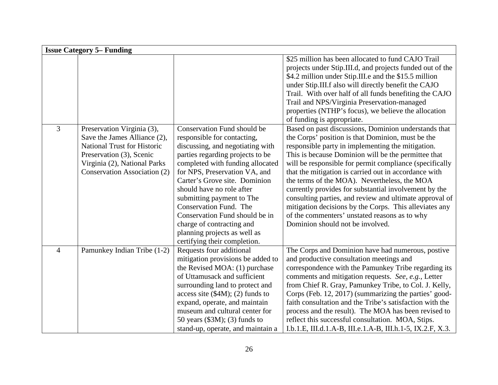|                | <b>Issue Category 5– Funding</b>                                                                                                                                                             |                                                                                                                                                                                                                                                                                                                                                                                                                                                             |                                                                                                                                                                                                                                                                                                                                                                                                                                                                                                                                                                                                                                                              |  |
|----------------|----------------------------------------------------------------------------------------------------------------------------------------------------------------------------------------------|-------------------------------------------------------------------------------------------------------------------------------------------------------------------------------------------------------------------------------------------------------------------------------------------------------------------------------------------------------------------------------------------------------------------------------------------------------------|--------------------------------------------------------------------------------------------------------------------------------------------------------------------------------------------------------------------------------------------------------------------------------------------------------------------------------------------------------------------------------------------------------------------------------------------------------------------------------------------------------------------------------------------------------------------------------------------------------------------------------------------------------------|--|
|                |                                                                                                                                                                                              |                                                                                                                                                                                                                                                                                                                                                                                                                                                             | \$25 million has been allocated to fund CAJO Trail<br>projects under Stip.III.d, and projects funded out of the<br>\$4.2 million under Stip.III.e and the \$15.5 million<br>under Stip.III.f also will directly benefit the CAJO<br>Trail. With over half of all funds benefiting the CAJO<br>Trail and NPS/Virginia Preservation-managed<br>properties (NTHP's focus), we believe the allocation<br>of funding is appropriate.                                                                                                                                                                                                                              |  |
| 3              | Preservation Virginia (3),<br>Save the James Alliance (2),<br><b>National Trust for Historic</b><br>Preservation (3), Scenic<br>Virginia (2), National Parks<br>Conservation Association (2) | Conservation Fund should be<br>responsible for contacting,<br>discussing, and negotiating with<br>parties regarding projects to be<br>completed with funding allocated<br>for NPS, Preservation VA, and<br>Carter's Grove site. Dominion<br>should have no role after<br>submitting payment to The<br>Conservation Fund. The<br>Conservation Fund should be in<br>charge of contracting and<br>planning projects as well as<br>certifying their completion. | Based on past discussions, Dominion understands that<br>the Corps' position is that Dominion, must be the<br>responsible party in implementing the mitigation.<br>This is because Dominion will be the permittee that<br>will be responsible for permit compliance (specifically<br>that the mitigation is carried out in accordance with<br>the terms of the MOA). Nevertheless, the MOA<br>currently provides for substantial involvement by the<br>consulting parties, and review and ultimate approval of<br>mitigation decisions by the Corps. This alleviates any<br>of the commenters' unstated reasons as to why<br>Dominion should not be involved. |  |
| $\overline{4}$ | Pamunkey Indian Tribe (1-2)                                                                                                                                                                  | Requests four additional<br>mitigation provisions be added to<br>the Revised MOA: (1) purchase<br>of Uttamusack and sufficient<br>surrounding land to protect and<br>access site $(\$4M)$ ; (2) funds to<br>expand, operate, and maintain<br>museum and cultural center for<br>50 years $(\$3M)$ ; $(3)$ funds to<br>stand-up, operate, and maintain a                                                                                                      | The Corps and Dominion have had numerous, postive<br>and productive consultation meetings and<br>correspondence with the Pamunkey Tribe regarding its<br>comments and mitigation requests. See, e.g., Letter<br>from Chief R. Gray, Pamunkey Tribe, to Col. J. Kelly,<br>Corps (Feb. 12, 2017) (summarizing the parties' good-<br>faith consultation and the Tribe's satisfaction with the<br>process and the result). The MOA has been revised to<br>reflect this successful consultation. MOA, Stips.<br>I.b.1.E, III.d.1.A-B, III.e.1.A-B, III.h.1-5, IX.2.F, X.3.                                                                                        |  |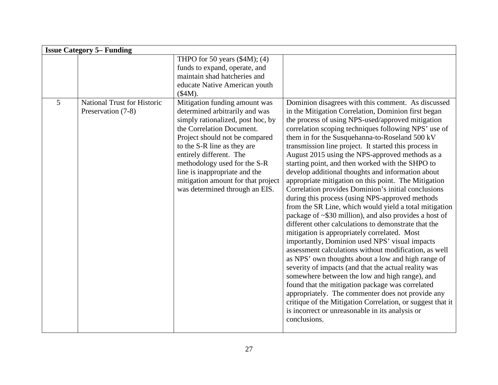|   | <b>Issue Category 5– Funding</b>                         |                                                                                                                                                                                                                                                                                                                                                                        |                                                                                                                                                                                                                                                                                                                                                                                                                                                                                                                                                                                                                                                                                                                                                                                                                                                                                                                                                                                                                                                                                                                                                                                                                                                                                                                                                                                                                  |  |
|---|----------------------------------------------------------|------------------------------------------------------------------------------------------------------------------------------------------------------------------------------------------------------------------------------------------------------------------------------------------------------------------------------------------------------------------------|------------------------------------------------------------------------------------------------------------------------------------------------------------------------------------------------------------------------------------------------------------------------------------------------------------------------------------------------------------------------------------------------------------------------------------------------------------------------------------------------------------------------------------------------------------------------------------------------------------------------------------------------------------------------------------------------------------------------------------------------------------------------------------------------------------------------------------------------------------------------------------------------------------------------------------------------------------------------------------------------------------------------------------------------------------------------------------------------------------------------------------------------------------------------------------------------------------------------------------------------------------------------------------------------------------------------------------------------------------------------------------------------------------------|--|
|   |                                                          | THPO for 50 years $(\$4M)$ ; $(4)$<br>funds to expand, operate, and<br>maintain shad hatcheries and<br>educate Native American youth<br>(\$4M).                                                                                                                                                                                                                        |                                                                                                                                                                                                                                                                                                                                                                                                                                                                                                                                                                                                                                                                                                                                                                                                                                                                                                                                                                                                                                                                                                                                                                                                                                                                                                                                                                                                                  |  |
| 5 | <b>National Trust for Historic</b><br>Preservation (7-8) | Mitigation funding amount was<br>determined arbitrarily and was<br>simply rationalized, post hoc, by<br>the Correlation Document.<br>Project should not be compared<br>to the S-R line as they are<br>entirely different. The<br>methodology used for the S-R<br>line is inappropriate and the<br>mitigation amount for that project<br>was determined through an EIS. | Dominion disagrees with this comment. As discussed<br>in the Mitigation Correlation, Dominion first began<br>the process of using NPS-used/approved mitigation<br>correlation scoping techniques following NPS' use of<br>them in for the Susquehanna-to-Roseland 500 kV<br>transmission line project. It started this process in<br>August 2015 using the NPS-approved methods as a<br>starting point, and then worked with the SHPO to<br>develop additional thoughts and information about<br>appropriate mitigation on this point. The Mitigation<br>Correlation provides Dominion's initial conclusions<br>during this process (using NPS-approved methods<br>from the SR Line, which would yield a total mitigation<br>package of ~\$30 million), and also provides a host of<br>different other calculations to demonstrate that the<br>mitigation is appropriately correlated. Most<br>importantly, Dominion used NPS' visual impacts<br>assessment calculations without modification, as well<br>as NPS' own thoughts about a low and high range of<br>severity of impacts (and that the actual reality was<br>somewhere between the low and high range), and<br>found that the mitigation package was correlated<br>appropriately. The commenter does not provide any<br>critique of the Mitigation Correlation, or suggest that it<br>is incorrect or unreasonable in its analysis or<br>conclusions. |  |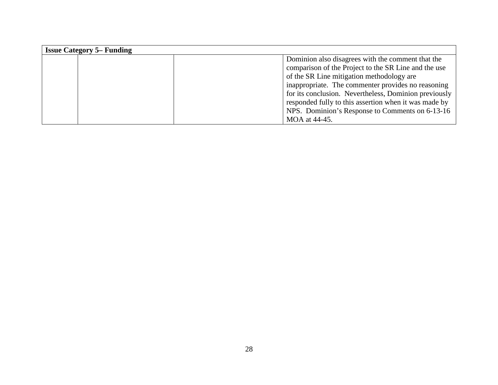| <b>Issue Category 5– Funding</b> |  |                                                       |  |
|----------------------------------|--|-------------------------------------------------------|--|
|                                  |  | Dominion also disagrees with the comment that the     |  |
|                                  |  | comparison of the Project to the SR Line and the use  |  |
|                                  |  | of the SR Line mitigation methodology are             |  |
|                                  |  | inappropriate. The commenter provides no reasoning    |  |
|                                  |  | for its conclusion. Nevertheless, Dominion previously |  |
|                                  |  | responded fully to this assertion when it was made by |  |
|                                  |  | NPS. Dominion's Response to Comments on 6-13-16       |  |
|                                  |  | MOA at 44-45.                                         |  |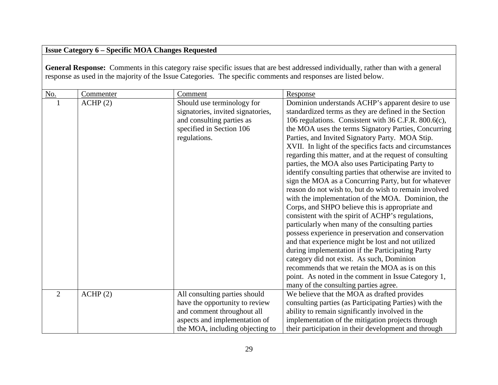# **Issue Category 6 – Specific MOA Changes Requested**

**General Response:** Comments in this category raise specific issues that are best addressed individually, rather than with a general response as used in the majority of the Issue Categories. The specific comments and responses are listed below.

| $\underline{\mathrm{No}}$ . | Commenter | Comment                           | Response                                                  |
|-----------------------------|-----------|-----------------------------------|-----------------------------------------------------------|
|                             | ACHP(2)   | Should use terminology for        | Dominion understands ACHP's apparent desire to use        |
|                             |           | signatories, invited signatories, | standardized terms as they are defined in the Section     |
|                             |           | and consulting parties as         | 106 regulations. Consistent with 36 C.F.R. 800.6(c),      |
|                             |           | specified in Section 106          | the MOA uses the terms Signatory Parties, Concurring      |
|                             |           | regulations.                      | Parties, and Invited Signatory Party. MOA Stip.           |
|                             |           |                                   | XVII. In light of the specifics facts and circumstances   |
|                             |           |                                   | regarding this matter, and at the request of consulting   |
|                             |           |                                   | parties, the MOA also uses Participating Party to         |
|                             |           |                                   | identify consulting parties that otherwise are invited to |
|                             |           |                                   | sign the MOA as a Concurring Party, but for whatever      |
|                             |           |                                   | reason do not wish to, but do wish to remain involved     |
|                             |           |                                   | with the implementation of the MOA. Dominion, the         |
|                             |           |                                   | Corps, and SHPO believe this is appropriate and           |
|                             |           |                                   | consistent with the spirit of ACHP's regulations,         |
|                             |           |                                   | particularly when many of the consulting parties          |
|                             |           |                                   | possess experience in preservation and conservation       |
|                             |           |                                   | and that experience might be lost and not utilized        |
|                             |           |                                   | during implementation if the Participating Party          |
|                             |           |                                   | category did not exist. As such, Dominion                 |
|                             |           |                                   | recommends that we retain the MOA as is on this           |
|                             |           |                                   | point. As noted in the comment in Issue Category 1,       |
|                             |           |                                   | many of the consulting parties agree.                     |
| $\overline{2}$              | ACHP(2)   | All consulting parties should     | We believe that the MOA as drafted provides               |
|                             |           | have the opportunity to review    | consulting parties (as Participating Parties) with the    |
|                             |           | and comment throughout all        | ability to remain significantly involved in the           |
|                             |           | aspects and implementation of     | implementation of the mitigation projects through         |
|                             |           | the MOA, including objecting to   | their participation in their development and through      |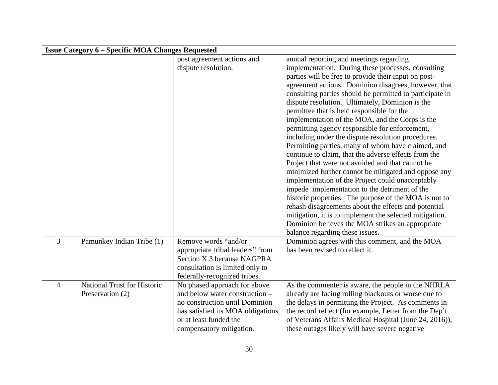|                | <b>Issue Category 6 – Specific MOA Changes Requested</b> |                                   |                                                          |  |
|----------------|----------------------------------------------------------|-----------------------------------|----------------------------------------------------------|--|
|                |                                                          | post agreement actions and        | annual reporting and meetings regarding                  |  |
|                |                                                          | dispute resolution.               | implementation. During these processes, consulting       |  |
|                |                                                          |                                   | parties will be free to provide their input on post-     |  |
|                |                                                          |                                   | agreement actions. Dominion disagrees, however, that     |  |
|                |                                                          |                                   | consulting parties should be permitted to participate in |  |
|                |                                                          |                                   | dispute resolution. Ultimately, Dominion is the          |  |
|                |                                                          |                                   | permittee that is held responsible for the               |  |
|                |                                                          |                                   | implementation of the MOA, and the Corps is the          |  |
|                |                                                          |                                   | permitting agency responsible for enforcement,           |  |
|                |                                                          |                                   | including under the dispute resolution procedures.       |  |
|                |                                                          |                                   | Permitting parties, many of whom have claimed, and       |  |
|                |                                                          |                                   | continue to claim, that the adverse effects from the     |  |
|                |                                                          |                                   | Project that were not avoided and that cannot be         |  |
|                |                                                          |                                   | minimized further cannot be mitigated and oppose any     |  |
|                |                                                          |                                   | implementation of the Project could unacceptably         |  |
|                |                                                          |                                   | impede implementation to the detriment of the            |  |
|                |                                                          |                                   | historic properties. The purpose of the MOA is not to    |  |
|                |                                                          |                                   | rehash disagreements about the effects and potential     |  |
|                |                                                          |                                   | mitigation, it is to implement the selected mitigation.  |  |
|                |                                                          |                                   | Dominion believes the MOA strikes an appropriate         |  |
|                |                                                          |                                   | balance regarding these issues.                          |  |
| 3              | Pamunkey Indian Tribe (1)                                | Remove words "and/or              | Dominion agrees with this comment, and the MOA           |  |
|                |                                                          | appropriate tribal leaders" from  | has been revised to reflect it.                          |  |
|                |                                                          | Section X.3 because NAGPRA        |                                                          |  |
|                |                                                          | consultation is limited only to   |                                                          |  |
|                |                                                          | federally-recognized tribes.      |                                                          |  |
| $\overline{4}$ | <b>National Trust for Historic</b>                       | No phased approach for above      | As the commenter is aware, the people in the NHRLA       |  |
|                | Preservation (2)                                         | and below water construction -    | already are facing rolling blackouts or worse due to     |  |
|                |                                                          | no construction until Dominion    | the delays in permitting the Project. As comments in     |  |
|                |                                                          | has satisfied its MOA obligations | the record reflect (for example, Letter from the Dep't   |  |
|                |                                                          | or at least funded the            | of Veterans Affairs Medical Hospital (June 24, 2016)),   |  |
|                |                                                          | compensatory mitigation.          | these outages likely will have severe negative           |  |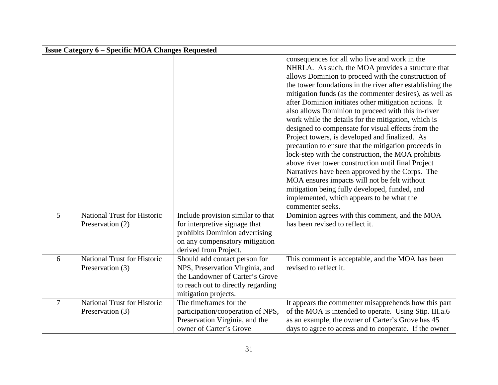|                | <b>Issue Category 6 - Specific MOA Changes Requested</b> |                                                                                                                                                                   |                                                                                                                                                                                                                                                                                                                                                                                                                                                                                                                                                                                                                                                                                                                                                                                                                                                                                                                                                          |
|----------------|----------------------------------------------------------|-------------------------------------------------------------------------------------------------------------------------------------------------------------------|----------------------------------------------------------------------------------------------------------------------------------------------------------------------------------------------------------------------------------------------------------------------------------------------------------------------------------------------------------------------------------------------------------------------------------------------------------------------------------------------------------------------------------------------------------------------------------------------------------------------------------------------------------------------------------------------------------------------------------------------------------------------------------------------------------------------------------------------------------------------------------------------------------------------------------------------------------|
|                |                                                          |                                                                                                                                                                   | consequences for all who live and work in the<br>NHRLA. As such, the MOA provides a structure that<br>allows Dominion to proceed with the construction of<br>the tower foundations in the river after establishing the<br>mitigation funds (as the commenter desires), as well as<br>after Dominion initiates other mitigation actions. It<br>also allows Dominion to proceed with this in-river<br>work while the details for the mitigation, which is<br>designed to compensate for visual effects from the<br>Project towers, is developed and finalized. As<br>precaution to ensure that the mitigation proceeds in<br>lock-step with the construction, the MOA prohibits<br>above river tower construction until final Project<br>Narratives have been approved by the Corps. The<br>MOA ensures impacts will not be felt without<br>mitigation being fully developed, funded, and<br>implemented, which appears to be what the<br>commenter seeks. |
| 5              | <b>National Trust for Historic</b><br>Preservation (2)   | Include provision similar to that<br>for interpretive signage that<br>prohibits Dominion advertising<br>on any compensatory mitigation<br>derived from Project.   | Dominion agrees with this comment, and the MOA<br>has been revised to reflect it.                                                                                                                                                                                                                                                                                                                                                                                                                                                                                                                                                                                                                                                                                                                                                                                                                                                                        |
| 6              | <b>National Trust for Historic</b><br>Preservation (3)   | Should add contact person for<br>NPS, Preservation Virginia, and<br>the Landowner of Carter's Grove<br>to reach out to directly regarding<br>mitigation projects. | This comment is acceptable, and the MOA has been<br>revised to reflect it.                                                                                                                                                                                                                                                                                                                                                                                                                                                                                                                                                                                                                                                                                                                                                                                                                                                                               |
| $\overline{7}$ | <b>National Trust for Historic</b><br>Preservation (3)   | The timeframes for the<br>participation/cooperation of NPS,<br>Preservation Virginia, and the<br>owner of Carter's Grove                                          | It appears the commenter misapprehends how this part<br>of the MOA is intended to operate. Using Stip. III.a.6<br>as an example, the owner of Carter's Grove has 45<br>days to agree to access and to cooperate. If the owner                                                                                                                                                                                                                                                                                                                                                                                                                                                                                                                                                                                                                                                                                                                            |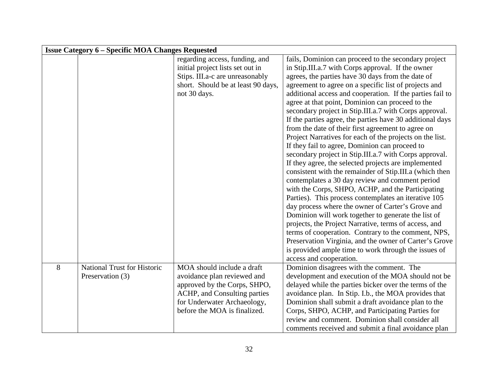|   | <b>Issue Category 6 – Specific MOA Changes Requested</b> |                                    |                                                           |  |
|---|----------------------------------------------------------|------------------------------------|-----------------------------------------------------------|--|
|   |                                                          | regarding access, funding, and     | fails, Dominion can proceed to the secondary project      |  |
|   |                                                          | initial project lists set out in   | in Stip.III.a.7 with Corps approval. If the owner         |  |
|   |                                                          | Stips. III.a-c are unreasonably    | agrees, the parties have 30 days from the date of         |  |
|   |                                                          | short. Should be at least 90 days, | agreement to agree on a specific list of projects and     |  |
|   |                                                          | not 30 days.                       | additional access and cooperation. If the parties fail to |  |
|   |                                                          |                                    | agree at that point, Dominion can proceed to the          |  |
|   |                                                          |                                    | secondary project in Stip.III.a.7 with Corps approval.    |  |
|   |                                                          |                                    | If the parties agree, the parties have 30 additional days |  |
|   |                                                          |                                    | from the date of their first agreement to agree on        |  |
|   |                                                          |                                    | Project Narratives for each of the projects on the list.  |  |
|   |                                                          |                                    | If they fail to agree, Dominion can proceed to            |  |
|   |                                                          |                                    | secondary project in Stip.III.a.7 with Corps approval.    |  |
|   |                                                          |                                    | If they agree, the selected projects are implemented      |  |
|   |                                                          |                                    | consistent with the remainder of Stip.III.a (which then   |  |
|   |                                                          |                                    | contemplates a 30 day review and comment period           |  |
|   |                                                          |                                    | with the Corps, SHPO, ACHP, and the Participating         |  |
|   |                                                          |                                    | Parties). This process contemplates an iterative 105      |  |
|   |                                                          |                                    | day process where the owner of Carter's Grove and         |  |
|   |                                                          |                                    | Dominion will work together to generate the list of       |  |
|   |                                                          |                                    | projects, the Project Narrative, terms of access, and     |  |
|   |                                                          |                                    | terms of cooperation. Contrary to the comment, NPS,       |  |
|   |                                                          |                                    | Preservation Virginia, and the owner of Carter's Grove    |  |
|   |                                                          |                                    | is provided ample time to work through the issues of      |  |
|   |                                                          |                                    | access and cooperation.                                   |  |
| 8 | National Trust for Historic                              | MOA should include a draft         | Dominion disagrees with the comment. The                  |  |
|   | Preservation (3)                                         | avoidance plan reviewed and        | development and execution of the MOA should not be        |  |
|   |                                                          | approved by the Corps, SHPO,       | delayed while the parties bicker over the terms of the    |  |
|   |                                                          | ACHP, and Consulting parties       | avoidance plan. In Stip. I.b., the MOA provides that      |  |
|   |                                                          | for Underwater Archaeology,        | Dominion shall submit a draft avoidance plan to the       |  |
|   |                                                          | before the MOA is finalized.       | Corps, SHPO, ACHP, and Participating Parties for          |  |
|   |                                                          |                                    | review and comment. Dominion shall consider all           |  |
|   |                                                          |                                    | comments received and submit a final avoidance plan       |  |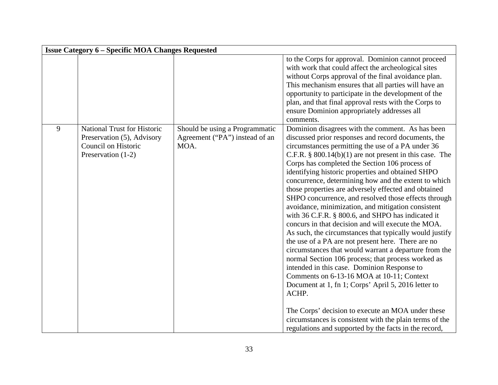|   | <b>Issue Category 6 - Specific MOA Changes Requested</b>                                                      |                                                                          |                                                                                                                                                                                                                                                                                                                                                                                                                                                                                                                                                                                                                                                                                                                                                                                                                                                                                                                                                                                                                                                                                                                                                                                                                                                 |
|---|---------------------------------------------------------------------------------------------------------------|--------------------------------------------------------------------------|-------------------------------------------------------------------------------------------------------------------------------------------------------------------------------------------------------------------------------------------------------------------------------------------------------------------------------------------------------------------------------------------------------------------------------------------------------------------------------------------------------------------------------------------------------------------------------------------------------------------------------------------------------------------------------------------------------------------------------------------------------------------------------------------------------------------------------------------------------------------------------------------------------------------------------------------------------------------------------------------------------------------------------------------------------------------------------------------------------------------------------------------------------------------------------------------------------------------------------------------------|
|   |                                                                                                               |                                                                          | to the Corps for approval. Dominion cannot proceed<br>with work that could affect the archeological sites<br>without Corps approval of the final avoidance plan.<br>This mechanism ensures that all parties will have an<br>opportunity to participate in the development of the<br>plan, and that final approval rests with the Corps to<br>ensure Dominion appropriately addresses all<br>comments.                                                                                                                                                                                                                                                                                                                                                                                                                                                                                                                                                                                                                                                                                                                                                                                                                                           |
| 9 | <b>National Trust for Historic</b><br>Preservation (5), Advisory<br>Council on Historic<br>Preservation (1-2) | Should be using a Programmatic<br>Agreement ("PA") instead of an<br>MOA. | Dominion disagrees with the comment. As has been<br>discussed prior responses and record documents, the<br>circumstances permitting the use of a PA under 36<br>C.F.R. $\S$ 800.14(b)(1) are not present in this case. The<br>Corps has completed the Section 106 process of<br>identifying historic properties and obtained SHPO<br>concurrence, determining how and the extent to which<br>those properties are adversely effected and obtained<br>SHPO concurrence, and resolved those effects through<br>avoidance, minimization, and mitigation consistent<br>with 36 C.F.R. § 800.6, and SHPO has indicated it<br>concurs in that decision and will execute the MOA.<br>As such, the circumstances that typically would justify<br>the use of a PA are not present here. There are no<br>circumstances that would warrant a departure from the<br>normal Section 106 process; that process worked as<br>intended in this case. Dominion Response to<br>Comments on 6-13-16 MOA at 10-11; Context<br>Document at 1, fn 1; Corps' April 5, 2016 letter to<br>ACHP.<br>The Corps' decision to execute an MOA under these<br>circumstances is consistent with the plain terms of the<br>regulations and supported by the facts in the record, |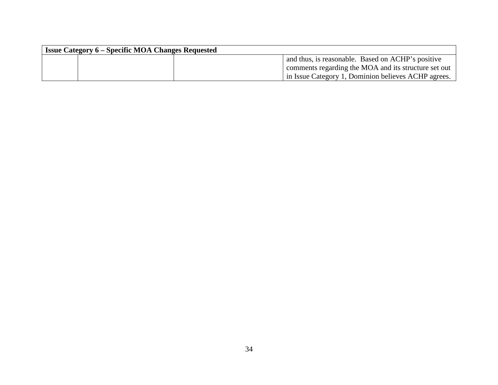| <b>Issue Category 6 – Specific MOA Changes Requested</b> |                                                      |  |
|----------------------------------------------------------|------------------------------------------------------|--|
|                                                          | and thus, is reasonable. Based on ACHP's positive    |  |
|                                                          | comments regarding the MOA and its structure set out |  |
|                                                          | in Issue Category 1, Dominion believes ACHP agrees.  |  |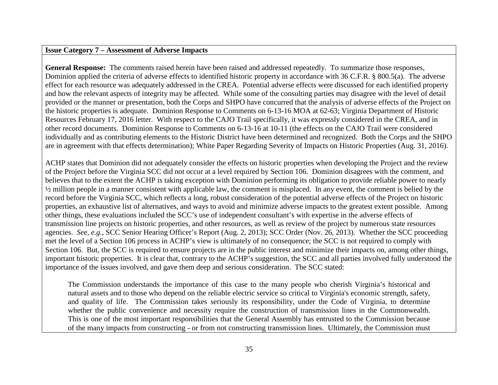### **Issue Category 7 – Assessment of Adverse Impacts**

**General Response:** The comments raised herein have been raised and addressed repeatedly. To summarize those responses, Dominion applied the criteria of adverse effects to identified historic property in accordance with 36 C.F.R. § 800.5(a). The adverse effect for each resource was adequately addressed in the CREA. Potential adverse effects were discussed for each identified property and how the relevant aspects of integrity may be affected. While some of the consulting parties may disagree with the level of detail provided or the manner or presentation, both the Corps and SHPO have concurred that the analysis of adverse effects of the Project on the historic properties is adequate. Dominion Response to Comments on 6-13-16 MOA at 62-63; Virginia Department of Historic Resources February 17, 2016 letter. With respect to the CAJO Trail specifically, it was expressly considered in the CREA, and in other record documents. Dominion Response to Comments on 6-13-16 at 10-11 (the effects on the CAJO Trail were considered individually and as contributing elements to the Historic District have been determined and recognized. Both the Corps and the SHPO are in agreement with that effects determination); White Paper Regarding Severity of Impacts on Historic Properties (Aug. 31, 2016).

ACHP states that Dominion did not adequately consider the effects on historic properties when developing the Project and the review of the Project before the Virginia SCC did not occur at a level required by Section 106. Dominion disagrees with the comment, and believes that to the extent the ACHP is taking exception with Dominion performing its obligation to provide reliable power to nearly ½ million people in a manner consistent with applicable law, the comment is misplaced. In any event, the comment is belied by the record before the Virginia SCC, which reflects a long, robust consideration of the potential adverse effects of the Project on historic properties, an exhaustive list of alternatives, and ways to avoid and minimize adverse impacts to the greatest extent possible. Among other things, these evaluations included the SCC's use of independent consultant's with expertise in the adverse effects of transmission line projects on historic properties, and other resources, as well as review of the project by numerous state resources agencies. *See, e.g.*, SCC Senior Hearing Officer's Report (Aug. 2, 2013); SCC Order (Nov. 26, 2013). Whether the SCC proceeding met the level of a Section 106 process in ACHP's view is ultimately of no consequence; the SCC is not required to comply with Section 106. But, the SCC is required to ensure projects are in the public interest and minimize their impacts on, among other things, important historic properties. It is clear that, contrary to the ACHP's suggestion, the SCC and all parties involved fully understood the importance of the issues involved, and gave them deep and serious consideration. The SCC stated:

The Commission understands the importance of this case to the many people who cherish Virginia's historical and natural assets and to those who depend on the reliable electric service so critical to Virginia's economic strength, safety, and quality of life. The Commission takes seriously its responsibility, under the Code of Virginia, to determine whether the public convenience and necessity require the construction of transmission lines in the Commonwealth. This is one of the most important responsibilities that the General Assembly has entrusted to the Commission because of the many impacts from constructing - or from not constructing transmission lines. Ultimately, the Commission must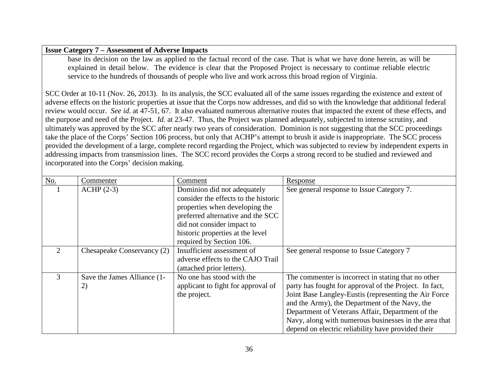#### **Issue Category 7 – Assessment of Adverse Impacts**

base its decision on the law as applied to the factual record of the case. That is what we have done herein, as will be explained in detail below. The evidence is clear that the Proposed Project is necessary to continue reliable electric service to the hundreds of thousands of people who live and work across this broad region of Virginia.

SCC Order at 10-11 (Nov. 26, 2013). In its analysis, the SCC evaluated all of the same issues regarding the existence and extent of adverse effects on the historic properties at issue that the Corps now addresses, and did so with the knowledge that additional federal review would occur. *See id*. at 47-51, 67. It also evaluated numerous alternative routes that impacted the extent of these effects, and the purpose and need of the Project. *Id*. at 23-47. Thus, the Project was planned adequately, subjected to intense scrutiny, and ultimately was approved by the SCC after nearly two years of consideration. Dominion is not suggesting that the SCC proceedings take the place of the Corps' Section 106 process, but only that ACHP's attempt to brush it aside is inappropriate. The SCC process provided the development of a large, complete record regarding the Project, which was subjected to review by independent experts in addressing impacts from transmission lines. The SCC record provides the Corps a strong record to be studied and reviewed and incorporated into the Corps' decision making.

| No.                         | Commenter                   | Comment                              | Response                                               |
|-----------------------------|-----------------------------|--------------------------------------|--------------------------------------------------------|
|                             | $ACHP(2-3)$                 | Dominion did not adequately          | See general response to Issue Category 7.              |
|                             |                             | consider the effects to the historic |                                                        |
|                             |                             | properties when developing the       |                                                        |
|                             |                             | preferred alternative and the SCC    |                                                        |
|                             |                             | did not consider impact to           |                                                        |
|                             |                             | historic properties at the level     |                                                        |
|                             |                             | required by Section 106.             |                                                        |
| $\mathcal{D}_{\mathcal{L}}$ | Chesapeake Conservancy (2)  | Insufficient assessment of           | See general response to Issue Category 7               |
|                             |                             | adverse effects to the CAJO Trail    |                                                        |
|                             |                             | (attached prior letters).            |                                                        |
| 3                           | Save the James Alliance (1- | No one has stood with the            | The commenter is incorrect in stating that no other    |
|                             | 2)                          | applicant to fight for approval of   | party has fought for approval of the Project. In fact, |
|                             |                             | the project.                         | Joint Base Langley-Eustis (representing the Air Force  |
|                             |                             |                                      | and the Army), the Department of the Navy, the         |
|                             |                             |                                      | Department of Veterans Affair, Department of the       |
|                             |                             |                                      | Navy, along with numerous businesses in the area that  |
|                             |                             |                                      | depend on electric reliability have provided their     |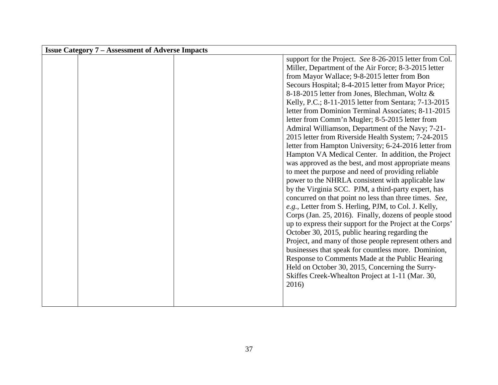| <b>Issue Category 7 - Assessment of Adverse Impacts</b> |                                                           |
|---------------------------------------------------------|-----------------------------------------------------------|
|                                                         | support for the Project. See 8-26-2015 letter from Col.   |
|                                                         | Miller, Department of the Air Force; 8-3-2015 letter      |
|                                                         | from Mayor Wallace; 9-8-2015 letter from Bon              |
|                                                         | Secours Hospital; 8-4-2015 letter from Mayor Price;       |
|                                                         | 8-18-2015 letter from Jones, Blechman, Woltz &            |
|                                                         | Kelly, P.C.; 8-11-2015 letter from Sentara; 7-13-2015     |
|                                                         | letter from Dominion Terminal Associates; 8-11-2015       |
|                                                         | letter from Comm'n Mugler; 8-5-2015 letter from           |
|                                                         | Admiral Williamson, Department of the Navy; 7-21-         |
|                                                         | 2015 letter from Riverside Health System; 7-24-2015       |
|                                                         | letter from Hampton University; 6-24-2016 letter from     |
|                                                         | Hampton VA Medical Center. In addition, the Project       |
|                                                         | was approved as the best, and most appropriate means      |
|                                                         | to meet the purpose and need of providing reliable        |
|                                                         | power to the NHRLA consistent with applicable law         |
|                                                         | by the Virginia SCC. PJM, a third-party expert, has       |
|                                                         | concurred on that point no less than three times. See,    |
|                                                         | e.g., Letter from S. Herling, PJM, to Col. J. Kelly,      |
|                                                         | Corps (Jan. 25, 2016). Finally, dozens of people stood    |
|                                                         | up to express their support for the Project at the Corps' |
|                                                         | October 30, 2015, public hearing regarding the            |
|                                                         | Project, and many of those people represent others and    |
|                                                         | businesses that speak for countless more. Dominion,       |
|                                                         | Response to Comments Made at the Public Hearing           |
|                                                         | Held on October 30, 2015, Concerning the Surry-           |
|                                                         | Skiffes Creek-Whealton Project at 1-11 (Mar. 30,          |
|                                                         | 2016)                                                     |
|                                                         |                                                           |
|                                                         |                                                           |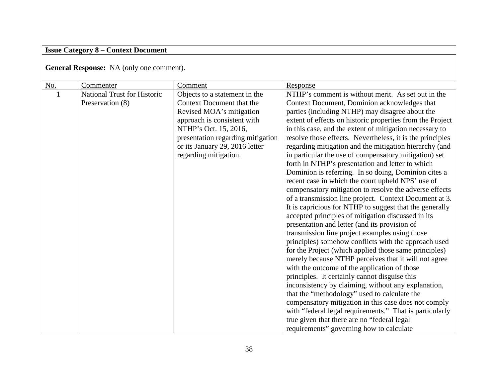# **Issue Category 8 – Context Document**

**General Response:** NA (only one comment).

| No. | Commenter                   | Comment                           | Response                                                  |
|-----|-----------------------------|-----------------------------------|-----------------------------------------------------------|
|     | National Trust for Historic | Objects to a statement in the     | NTHP's comment is without merit. As set out in the        |
|     | Preservation (8)            | Context Document that the         | Context Document, Dominion acknowledges that              |
|     |                             | Revised MOA's mitigation          | parties (including NTHP) may disagree about the           |
|     |                             | approach is consistent with       | extent of effects on historic properties from the Project |
|     |                             | NTHP's Oct. 15, 2016,             | in this case, and the extent of mitigation necessary to   |
|     |                             | presentation regarding mitigation | resolve those effects. Nevertheless, it is the principles |
|     |                             | or its January 29, 2016 letter    | regarding mitigation and the mitigation hierarchy (and    |
|     |                             | regarding mitigation.             | in particular the use of compensatory mitigation) set     |
|     |                             |                                   | forth in NTHP's presentation and letter to which          |
|     |                             |                                   | Dominion is referring. In so doing, Dominion cites a      |
|     |                             |                                   | recent case in which the court upheld NPS' use of         |
|     |                             |                                   | compensatory mitigation to resolve the adverse effects    |
|     |                             |                                   | of a transmission line project. Context Document at 3.    |
|     |                             |                                   | It is capricious for NTHP to suggest that the generally   |
|     |                             |                                   | accepted principles of mitigation discussed in its        |
|     |                             |                                   | presentation and letter (and its provision of             |
|     |                             |                                   | transmission line project examples using those            |
|     |                             |                                   | principles) somehow conflicts with the approach used      |
|     |                             |                                   | for the Project (which applied those same principles)     |
|     |                             |                                   | merely because NTHP perceives that it will not agree      |
|     |                             |                                   | with the outcome of the application of those              |
|     |                             |                                   | principles. It certainly cannot disguise this             |
|     |                             |                                   | inconsistency by claiming, without any explanation,       |
|     |                             |                                   | that the "methodology" used to calculate the              |
|     |                             |                                   | compensatory mitigation in this case does not comply      |
|     |                             |                                   | with "federal legal requirements." That is particularly   |
|     |                             |                                   | true given that there are no "federal legal               |
|     |                             |                                   | requirements" governing how to calculate                  |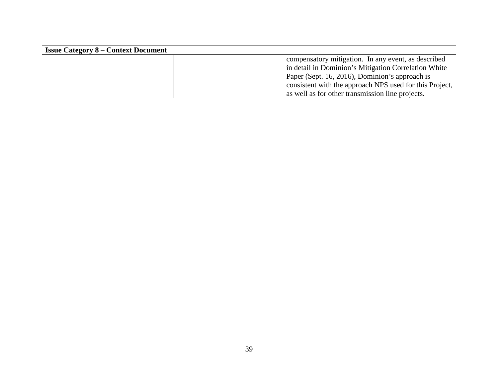| <b>Issue Category 8 – Context Document</b>              |
|---------------------------------------------------------|
| compensatory mitigation. In any event, as described     |
| in detail in Dominion's Mitigation Correlation White    |
| Paper (Sept. 16, 2016), Dominion's approach is          |
| consistent with the approach NPS used for this Project, |
| as well as for other transmission line projects.        |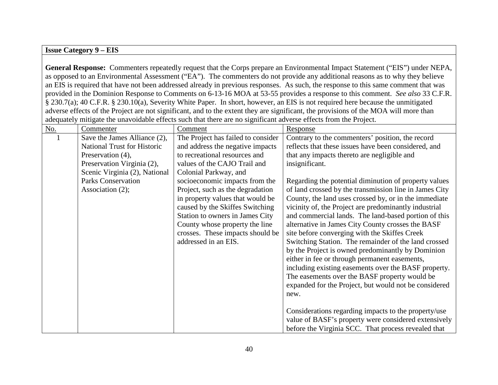#### **Issue Category 9 – EIS**

**General Response:** Commenters repeatedly request that the Corps prepare an Environmental Impact Statement ("EIS") under NEPA, as opposed to an Environmental Assessment ("EA"). The commenters do not provide any additional reasons as to why they believe an EIS is required that have not been addressed already in previous responses. As such, the response to this same comment that was provided in the Dominion Response to Comments on 6-13-16 MOA at 53-55 provides a response to this comment. *See also* 33 C.F.R. § 230.7(a); 40 C.F.R. § 230.10(a), Severity White Paper. In short, however, an EIS is not required here because the unmitigated adverse effects of the Project are not significant, and to the extent they are significant, the provisions of the MOA will more than adequately mitigate the unavoidable effects such that there are no significant adverse effects from the Project.

| $\underline{\text{No}}$ . | Commenter                          | Comment                                | Response                                               |
|---------------------------|------------------------------------|----------------------------------------|--------------------------------------------------------|
|                           | Save the James Alliance (2),       | The Project has failed to consider     | Contrary to the commenters' position, the record       |
|                           | <b>National Trust for Historic</b> | and address the negative impacts       | reflects that these issues have been considered, and   |
|                           | Preservation (4),                  | to recreational resources and          | that any impacts thereto are negligible and            |
|                           | Preservation Virginia (2),         | values of the CAJO Trail and           | insignificant.                                         |
|                           | Scenic Virginia (2), National      | Colonial Parkway, and                  |                                                        |
|                           | <b>Parks Conservation</b>          | socioeconomic impacts from the         | Regarding the potential diminution of property values  |
|                           | Association $(2)$ ;                | Project, such as the degradation       | of land crossed by the transmission line in James City |
|                           |                                    | in property values that would be       | County, the land uses crossed by, or in the immediate  |
|                           |                                    | caused by the Skiffes Switching        | vicinity of, the Project are predominantly industrial  |
|                           |                                    | <b>Station to owners in James City</b> | and commercial lands. The land-based portion of this   |
|                           |                                    | County whose property the line         | alternative in James City County crosses the BASF      |
|                           |                                    | crosses. These impacts should be       | site before converging with the Skiffes Creek          |
|                           |                                    | addressed in an EIS.                   | Switching Station. The remainder of the land crossed   |
|                           |                                    |                                        | by the Project is owned predominantly by Dominion      |
|                           |                                    |                                        | either in fee or through permanent easements,          |
|                           |                                    |                                        | including existing easements over the BASF property.   |
|                           |                                    |                                        | The easements over the BASF property would be          |
|                           |                                    |                                        | expanded for the Project, but would not be considered  |
|                           |                                    |                                        | new.                                                   |
|                           |                                    |                                        |                                                        |
|                           |                                    |                                        | Considerations regarding impacts to the property/use   |
|                           |                                    |                                        | value of BASF's property were considered extensively   |
|                           |                                    |                                        | before the Virginia SCC. That process revealed that    |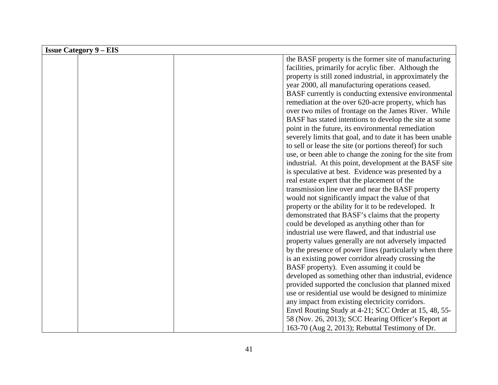| <b>Issue Category 9 – EIS</b> |                                                           |
|-------------------------------|-----------------------------------------------------------|
|                               | the BASF property is the former site of manufacturing     |
|                               | facilities, primarily for acrylic fiber. Although the     |
|                               | property is still zoned industrial, in approximately the  |
|                               | year 2000, all manufacturing operations ceased.           |
|                               | BASF currently is conducting extensive environmental      |
|                               | remediation at the over 620-acre property, which has      |
|                               | over two miles of frontage on the James River. While      |
|                               | BASF has stated intentions to develop the site at some    |
|                               | point in the future, its environmental remediation        |
|                               | severely limits that goal, and to date it has been unable |
|                               | to sell or lease the site (or portions thereof) for such  |
|                               | use, or been able to change the zoning for the site from  |
|                               | industrial. At this point, development at the BASF site   |
|                               | is speculative at best. Evidence was presented by a       |
|                               | real estate expert that the placement of the              |
|                               | transmission line over and near the BASF property         |
|                               | would not significantly impact the value of that          |
|                               | property or the ability for it to be redeveloped. It      |
|                               | demonstrated that BASF's claims that the property         |
|                               | could be developed as anything other than for             |
|                               | industrial use were flawed, and that industrial use       |
|                               | property values generally are not adversely impacted      |
|                               | by the presence of power lines (particularly when there   |
|                               | is an existing power corridor already crossing the        |
|                               | BASF property). Even assuming it could be                 |
|                               | developed as something other than industrial, evidence    |
|                               | provided supported the conclusion that planned mixed      |
|                               | use or residential use would be designed to minimize      |
|                               | any impact from existing electricity corridors.           |
|                               | Envtl Routing Study at 4-21; SCC Order at 15, 48, 55-     |
|                               | 58 (Nov. 26, 2013); SCC Hearing Officer's Report at       |
|                               | 163-70 (Aug 2, 2013); Rebuttal Testimony of Dr.           |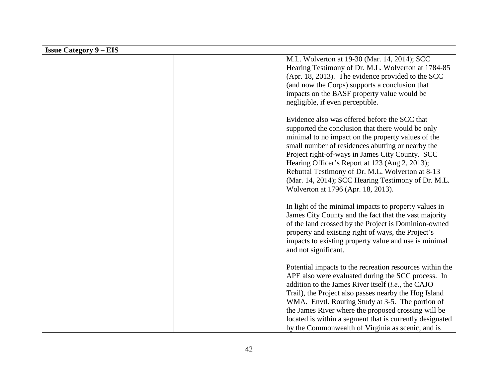| <b>Issue Category 9 – EIS</b> |                                                                                                                                                                                                                                                                                                                                                                                                                                                                    |
|-------------------------------|--------------------------------------------------------------------------------------------------------------------------------------------------------------------------------------------------------------------------------------------------------------------------------------------------------------------------------------------------------------------------------------------------------------------------------------------------------------------|
|                               | M.L. Wolverton at 19-30 (Mar. 14, 2014); SCC<br>Hearing Testimony of Dr. M.L. Wolverton at 1784-85<br>(Apr. 18, 2013). The evidence provided to the $SCC$<br>(and now the Corps) supports a conclusion that<br>impacts on the BASF property value would be<br>negligible, if even perceptible.                                                                                                                                                                     |
|                               | Evidence also was offered before the SCC that<br>supported the conclusion that there would be only<br>minimal to no impact on the property values of the<br>small number of residences abutting or nearby the<br>Project right-of-ways in James City County. SCC<br>Hearing Officer's Report at 123 (Aug 2, 2013);<br>Rebuttal Testimony of Dr. M.L. Wolverton at 8-13<br>(Mar. 14, 2014); SCC Hearing Testimony of Dr. M.L.<br>Wolverton at 1796 (Apr. 18, 2013). |
|                               | In light of the minimal impacts to property values in<br>James City County and the fact that the vast majority<br>of the land crossed by the Project is Dominion-owned<br>property and existing right of ways, the Project's<br>impacts to existing property value and use is minimal<br>and not significant.                                                                                                                                                      |
|                               | Potential impacts to the recreation resources within the<br>APE also were evaluated during the SCC process. In<br>addition to the James River itself (i.e., the CAJO<br>Trail), the Project also passes nearby the Hog Island<br>WMA. Envtl. Routing Study at 3-5. The portion of<br>the James River where the proposed crossing will be<br>located is within a segment that is currently designated<br>by the Commonwealth of Virginia as scenic, and is          |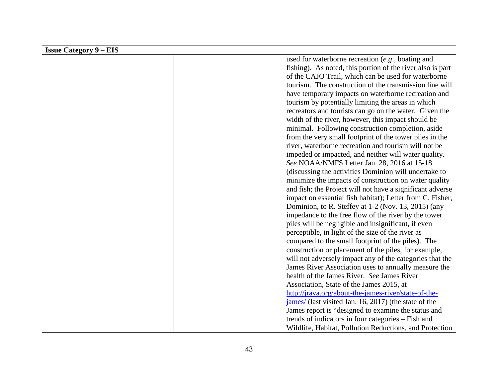| <b>Issue Category 9 – EIS</b> |  |                                                            |  |  |
|-------------------------------|--|------------------------------------------------------------|--|--|
|                               |  | used for waterborne recreation (e.g., boating and          |  |  |
|                               |  | fishing). As noted, this portion of the river also is part |  |  |
|                               |  | of the CAJO Trail, which can be used for waterborne        |  |  |
|                               |  | tourism. The construction of the transmission line will    |  |  |
|                               |  | have temporary impacts on waterborne recreation and        |  |  |
|                               |  | tourism by potentially limiting the areas in which         |  |  |
|                               |  | recreators and tourists can go on the water. Given the     |  |  |
|                               |  | width of the river, however, this impact should be         |  |  |
|                               |  | minimal. Following construction completion, aside          |  |  |
|                               |  | from the very small footprint of the tower piles in the    |  |  |
|                               |  | river, waterborne recreation and tourism will not be       |  |  |
|                               |  | impeded or impacted, and neither will water quality.       |  |  |
|                               |  | See NOAA/NMFS Letter Jan. 28, 2016 at 15-18                |  |  |
|                               |  | (discussing the activities Dominion will undertake to      |  |  |
|                               |  | minimize the impacts of construction on water quality      |  |  |
|                               |  | and fish; the Project will not have a significant adverse  |  |  |
|                               |  | impact on essential fish habitat); Letter from C. Fisher,  |  |  |
|                               |  | Dominion, to R. Steffey at 1-2 (Nov. 13, 2015) (any        |  |  |
|                               |  | impedance to the free flow of the river by the tower       |  |  |
|                               |  | piles will be negligible and insignificant, if even        |  |  |
|                               |  | perceptible, in light of the size of the river as          |  |  |
|                               |  | compared to the small footprint of the piles). The         |  |  |
|                               |  | construction or placement of the piles, for example,       |  |  |
|                               |  | will not adversely impact any of the categories that the   |  |  |
|                               |  | James River Association uses to annually measure the       |  |  |
|                               |  | health of the James River. See James River                 |  |  |
|                               |  | Association, State of the James 2015, at                   |  |  |
|                               |  | http://jrava.org/about-the-james-river/state-of-the-       |  |  |
|                               |  | james/ (last visited Jan. 16, 2017) (the state of the      |  |  |
|                               |  | James report is "designed to examine the status and        |  |  |
|                               |  | trends of indicators in four categories – Fish and         |  |  |
|                               |  | Wildlife, Habitat, Pollution Reductions, and Protection    |  |  |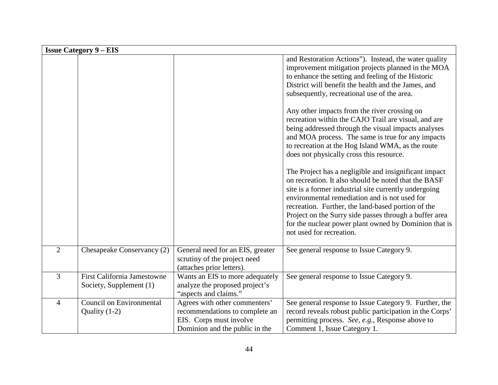| <b>Issue Category 9 – EIS</b> |                                                               |                                                                                                                              |                                                                                                                                                                                                                                                                                                                                                                                                                                                                                                                                                                                                                                                                                                                                                                                                                                                                                                                                                                                                  |  |  |
|-------------------------------|---------------------------------------------------------------|------------------------------------------------------------------------------------------------------------------------------|--------------------------------------------------------------------------------------------------------------------------------------------------------------------------------------------------------------------------------------------------------------------------------------------------------------------------------------------------------------------------------------------------------------------------------------------------------------------------------------------------------------------------------------------------------------------------------------------------------------------------------------------------------------------------------------------------------------------------------------------------------------------------------------------------------------------------------------------------------------------------------------------------------------------------------------------------------------------------------------------------|--|--|
|                               |                                                               |                                                                                                                              | and Restoration Actions"). Instead, the water quality<br>improvement mitigation projects planned in the MOA<br>to enhance the setting and feeling of the Historic<br>District will benefit the health and the James, and<br>subsequently, recreational use of the area.<br>Any other impacts from the river crossing on<br>recreation within the CAJO Trail are visual, and are<br>being addressed through the visual impacts analyses<br>and MOA process. The same is true for any impacts<br>to recreation at the Hog Island WMA, as the route<br>does not physically cross this resource.<br>The Project has a negligible and insignificant impact<br>on recreation. It also should be noted that the BASF<br>site is a former industrial site currently undergoing<br>environmental remediation and is not used for<br>recreation. Further, the land-based portion of the<br>Project on the Surry side passes through a buffer area<br>for the nuclear power plant owned by Dominion that is |  |  |
|                               |                                                               |                                                                                                                              | not used for recreation.                                                                                                                                                                                                                                                                                                                                                                                                                                                                                                                                                                                                                                                                                                                                                                                                                                                                                                                                                                         |  |  |
| $\overline{2}$                | Chesapeake Conservancy (2)                                    | General need for an EIS, greater<br>scrutiny of the project need<br>(attaches prior letters).                                | See general response to Issue Category 9.                                                                                                                                                                                                                                                                                                                                                                                                                                                                                                                                                                                                                                                                                                                                                                                                                                                                                                                                                        |  |  |
| $\overline{3}$                | <b>First California Jamestowne</b><br>Society, Supplement (1) | Wants an EIS to more adequately<br>analyze the proposed project's<br>"aspects and claims."                                   | See general response to Issue Category 9.                                                                                                                                                                                                                                                                                                                                                                                                                                                                                                                                                                                                                                                                                                                                                                                                                                                                                                                                                        |  |  |
| $\overline{4}$                | <b>Council on Environmental</b><br>Quality $(1-2)$            | Agrees with other commenters'<br>recommendations to complete an<br>EIS. Corps must involve<br>Dominion and the public in the | See general response to Issue Category 9. Further, the<br>record reveals robust public participation in the Corps'<br>permitting process. See, e.g., Response above to<br>Comment 1, Issue Category 1.                                                                                                                                                                                                                                                                                                                                                                                                                                                                                                                                                                                                                                                                                                                                                                                           |  |  |